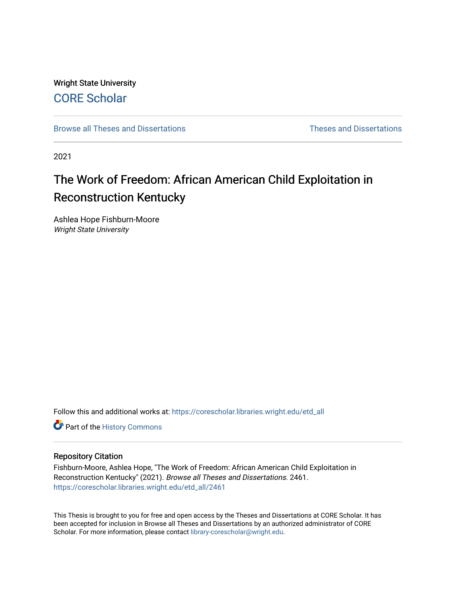Wright State University [CORE Scholar](https://corescholar.libraries.wright.edu/)

[Browse all Theses and Dissertations](https://corescholar.libraries.wright.edu/etd_all) [Theses and Dissertations](https://corescholar.libraries.wright.edu/etd_comm) 

2021

# The Work of Freedom: African American Child Exploitation in Reconstruction Kentucky

Ashlea Hope Fishburn-Moore Wright State University

Follow this and additional works at: [https://corescholar.libraries.wright.edu/etd\\_all](https://corescholar.libraries.wright.edu/etd_all?utm_source=corescholar.libraries.wright.edu%2Fetd_all%2F2461&utm_medium=PDF&utm_campaign=PDFCoverPages) 

Part of the [History Commons](http://network.bepress.com/hgg/discipline/489?utm_source=corescholar.libraries.wright.edu%2Fetd_all%2F2461&utm_medium=PDF&utm_campaign=PDFCoverPages) 

#### Repository Citation

Fishburn-Moore, Ashlea Hope, "The Work of Freedom: African American Child Exploitation in Reconstruction Kentucky" (2021). Browse all Theses and Dissertations. 2461. [https://corescholar.libraries.wright.edu/etd\\_all/2461](https://corescholar.libraries.wright.edu/etd_all/2461?utm_source=corescholar.libraries.wright.edu%2Fetd_all%2F2461&utm_medium=PDF&utm_campaign=PDFCoverPages)

This Thesis is brought to you for free and open access by the Theses and Dissertations at CORE Scholar. It has been accepted for inclusion in Browse all Theses and Dissertations by an authorized administrator of CORE Scholar. For more information, please contact [library-corescholar@wright.edu](mailto:library-corescholar@wright.edu).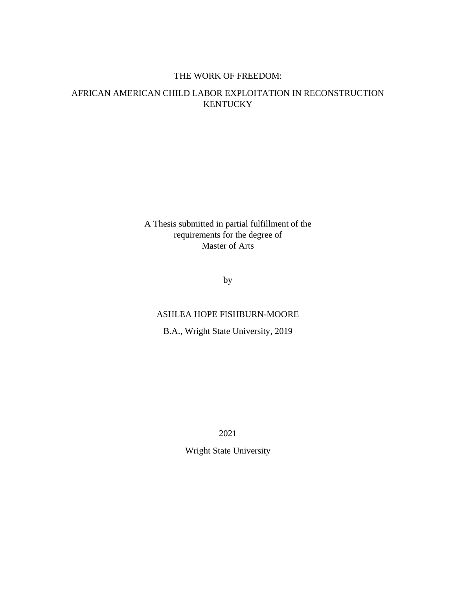## THE WORK OF FREEDOM:

# AFRICAN AMERICAN CHILD LABOR EXPLOITATION IN RECONSTRUCTION **KENTUCKY**

A Thesis submitted in partial fulfillment of the requirements for the degree of Master of Arts

by

## ASHLEA HOPE FISHBURN-MOORE

B.A., Wright State University, 2019

2021

Wright State University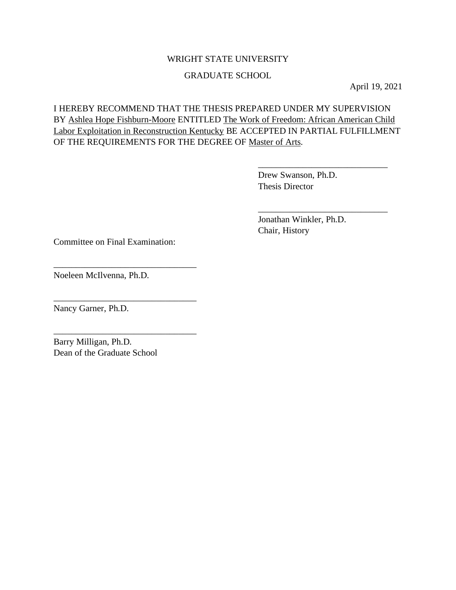## WRIGHT STATE UNIVERSITY

## GRADUATE SCHOOL

April 19, 2021

I HEREBY RECOMMEND THAT THE THESIS PREPARED UNDER MY SUPERVISION BY Ashlea Hope Fishburn-Moore ENTITLED The Work of Freedom: African American Child Labor Exploitation in Reconstruction Kentucky BE ACCEPTED IN PARTIAL FULFILLMENT OF THE REQUIREMENTS FOR THE DEGREE OF Master of Arts.

> Drew Swanson, Ph.D. Thesis Director

\_\_\_\_\_\_\_\_\_\_\_\_\_\_\_\_\_\_\_\_\_\_\_\_\_\_\_\_\_

\_\_\_\_\_\_\_\_\_\_\_\_\_\_\_\_\_\_\_\_\_\_\_\_\_\_\_\_\_

Jonathan Winkler, Ph.D. Chair, History

Committee on Final Examination:

\_\_\_\_\_\_\_\_\_\_\_\_\_\_\_\_\_\_\_\_\_\_\_\_\_\_\_\_\_\_\_\_

\_\_\_\_\_\_\_\_\_\_\_\_\_\_\_\_\_\_\_\_\_\_\_\_\_\_\_\_\_\_\_\_

\_\_\_\_\_\_\_\_\_\_\_\_\_\_\_\_\_\_\_\_\_\_\_\_\_\_\_\_\_\_\_\_

Noeleen McIlvenna, Ph.D.

Nancy Garner, Ph.D.

Barry Milligan, Ph.D. Dean of the Graduate School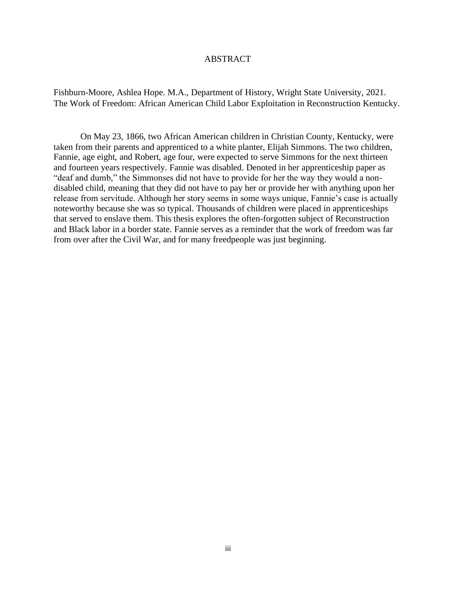#### ABSTRACT

Fishburn-Moore, Ashlea Hope. M.A., Department of History, Wright State University, 2021. The Work of Freedom: African American Child Labor Exploitation in Reconstruction Kentucky.

On May 23, 1866, two African American children in Christian County, Kentucky, were taken from their parents and apprenticed to a white planter, Elijah Simmons. The two children, Fannie, age eight, and Robert, age four, were expected to serve Simmons for the next thirteen and fourteen years respectively. Fannie was disabled. Denoted in her apprenticeship paper as "deaf and dumb," the Simmonses did not have to provide for her the way they would a nondisabled child, meaning that they did not have to pay her or provide her with anything upon her release from servitude. Although her story seems in some ways unique, Fannie's case is actually noteworthy because she was so typical. Thousands of children were placed in apprenticeships that served to enslave them. This thesis explores the often-forgotten subject of Reconstruction and Black labor in a border state. Fannie serves as a reminder that the work of freedom was far from over after the Civil War, and for many freedpeople was just beginning.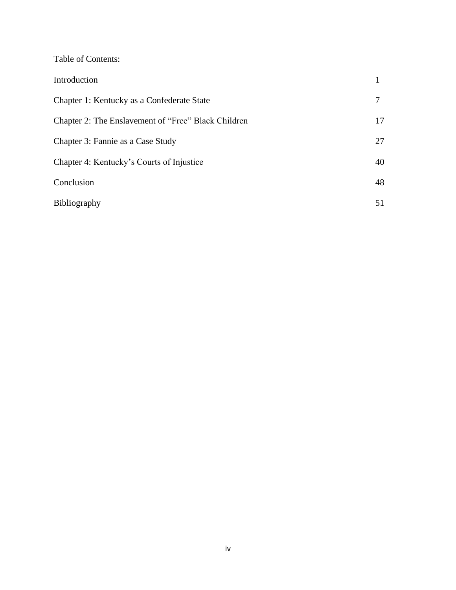|  | Table of Contents: |  |
|--|--------------------|--|
|--|--------------------|--|

| Introduction                                        |    |
|-----------------------------------------------------|----|
| Chapter 1: Kentucky as a Confederate State          |    |
| Chapter 2: The Enslavement of "Free" Black Children |    |
| Chapter 3: Fannie as a Case Study                   | 27 |
| Chapter 4: Kentucky's Courts of Injustice           | 40 |
| Conclusion                                          | 48 |
| Bibliography                                        | 51 |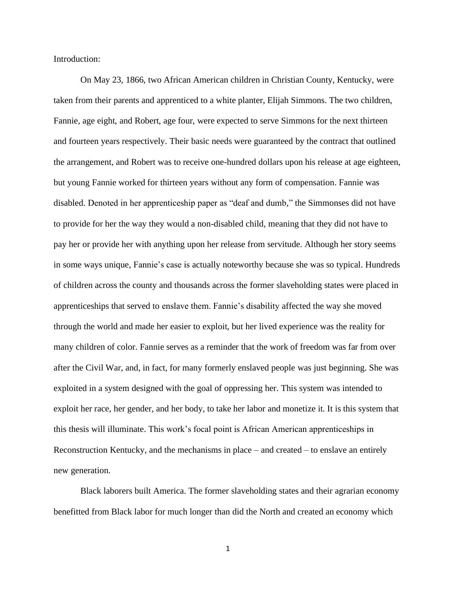Introduction:

On May 23, 1866, two African American children in Christian County, Kentucky, were taken from their parents and apprenticed to a white planter, Elijah Simmons. The two children, Fannie, age eight, and Robert, age four, were expected to serve Simmons for the next thirteen and fourteen years respectively. Their basic needs were guaranteed by the contract that outlined the arrangement, and Robert was to receive one-hundred dollars upon his release at age eighteen, but young Fannie worked for thirteen years without any form of compensation. Fannie was disabled. Denoted in her apprenticeship paper as "deaf and dumb," the Simmonses did not have to provide for her the way they would a non-disabled child, meaning that they did not have to pay her or provide her with anything upon her release from servitude. Although her story seems in some ways unique, Fannie's case is actually noteworthy because she was so typical. Hundreds of children across the county and thousands across the former slaveholding states were placed in apprenticeships that served to enslave them. Fannie's disability affected the way she moved through the world and made her easier to exploit, but her lived experience was the reality for many children of color. Fannie serves as a reminder that the work of freedom was far from over after the Civil War, and, in fact, for many formerly enslaved people was just beginning. She was exploited in a system designed with the goal of oppressing her. This system was intended to exploit her race, her gender, and her body, to take her labor and monetize it. It is this system that this thesis will illuminate. This work's focal point is African American apprenticeships in Reconstruction Kentucky, and the mechanisms in place – and created – to enslave an entirely new generation.

Black laborers built America. The former slaveholding states and their agrarian economy benefitted from Black labor for much longer than did the North and created an economy which

1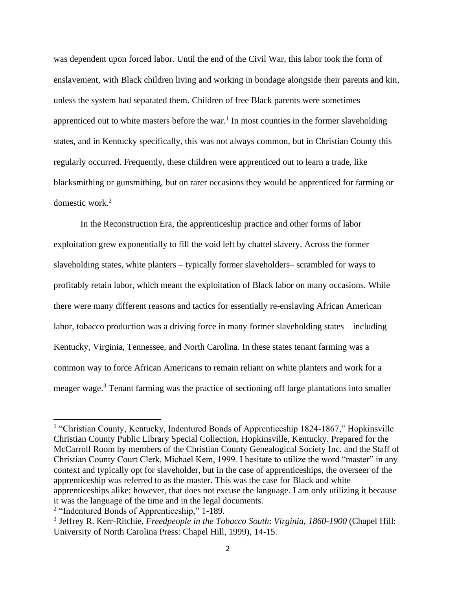was dependent upon forced labor. Until the end of the Civil War, this labor took the form of enslavement, with Black children living and working in bondage alongside their parents and kin, unless the system had separated them. Children of free Black parents were sometimes apprenticed out to white masters before the war.<sup>1</sup> In most counties in the former slaveholding states, and in Kentucky specifically, this was not always common, but in Christian County this regularly occurred. Frequently, these children were apprenticed out to learn a trade, like blacksmithing or gunsmithing, but on rarer occasions they would be apprenticed for farming or domestic work.<sup>2</sup>

In the Reconstruction Era, the apprenticeship practice and other forms of labor exploitation grew exponentially to fill the void left by chattel slavery. Across the former slaveholding states, white planters – typically former slaveholders– scrambled for ways to profitably retain labor, which meant the exploitation of Black labor on many occasions. While there were many different reasons and tactics for essentially re-enslaving African American labor, tobacco production was a driving force in many former slaveholding states – including Kentucky, Virginia, Tennessee, and North Carolina. In these states tenant farming was a common way to force African Americans to remain reliant on white planters and work for a meager wage.<sup>3</sup> Tenant farming was the practice of sectioning off large plantations into smaller

<sup>&</sup>lt;sup>1</sup> "Christian County, Kentucky, Indentured Bonds of Apprenticeship 1824-1867," Hopkinsville Christian County Public Library Special Collection, Hopkinsville, Kentucky. Prepared for the McCarroll Room by members of the Christian County Genealogical Society Inc. and the Staff of Christian County Court Clerk, Michael Kem, 1999. I hesitate to utilize the word "master" in any context and typically opt for slaveholder, but in the case of apprenticeships, the overseer of the apprenticeship was referred to as the master. This was the case for Black and white apprenticeships alike; however, that does not excuse the language. I am only utilizing it because it was the language of the time and in the legal documents.

<sup>&</sup>lt;sup>2</sup> "Indentured Bonds of Apprenticeship," 1-189.

<sup>3</sup> Jeffrey R. Kerr-Ritchie, *Freedpeople in the Tobacco South*: *Virginia, 1860-1900* (Chapel Hill: University of North Carolina Press: Chapel Hill, 1999), 14-15.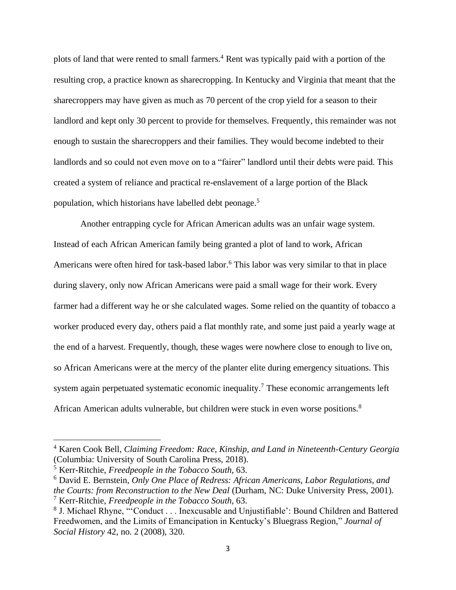plots of land that were rented to small farmers.<sup>4</sup> Rent was typically paid with a portion of the resulting crop, a practice known as sharecropping. In Kentucky and Virginia that meant that the sharecroppers may have given as much as 70 percent of the crop yield for a season to their landlord and kept only 30 percent to provide for themselves. Frequently, this remainder was not enough to sustain the sharecroppers and their families. They would become indebted to their landlords and so could not even move on to a "fairer" landlord until their debts were paid. This created a system of reliance and practical re-enslavement of a large portion of the Black population, which historians have labelled debt peonage.<sup>5</sup>

 Another entrapping cycle for African American adults was an unfair wage system. Instead of each African American family being granted a plot of land to work, African Americans were often hired for task-based labor.<sup>6</sup> This labor was very similar to that in place during slavery, only now African Americans were paid a small wage for their work. Every farmer had a different way he or she calculated wages. Some relied on the quantity of tobacco a worker produced every day, others paid a flat monthly rate, and some just paid a yearly wage at the end of a harvest. Frequently, though, these wages were nowhere close to enough to live on, so African Americans were at the mercy of the planter elite during emergency situations. This system again perpetuated systematic economic inequality.<sup>7</sup> These economic arrangements left African American adults vulnerable, but children were stuck in even worse positions.<sup>8</sup>

<sup>4</sup> Karen Cook Bell, *Claiming Freedom: Race, Kinship, and Land in Nineteenth-Century Georgia* (Columbia: University of South Carolina Press, 2018).

<sup>5</sup> Kerr-Ritchie, *Freedpeople in the Tobacco South*, 63.

<sup>6</sup> David E. Bernstein, *Only One Place of Redress: African Americans, Labor Regulations, and the Courts: from Reconstruction to the New Deal* (Durham, NC: Duke University Press, 2001). <sup>7</sup> Kerr-Ritchie, *Freedpeople in the Tobacco South*, 63.

<sup>&</sup>lt;sup>8</sup> J. Michael Rhyne, "'Conduct . . . Inexcusable and Unjustifiable': Bound Children and Battered Freedwomen, and the Limits of Emancipation in Kentucky's Bluegrass Region*,*" *Journal of Social History* 42, no. 2 (2008), 320.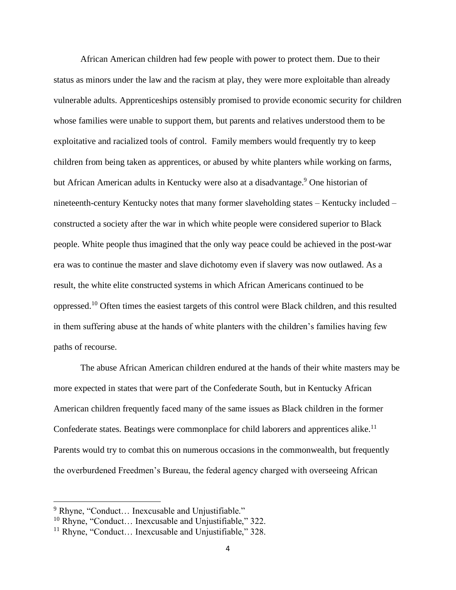African American children had few people with power to protect them. Due to their status as minors under the law and the racism at play, they were more exploitable than already vulnerable adults. Apprenticeships ostensibly promised to provide economic security for children whose families were unable to support them, but parents and relatives understood them to be exploitative and racialized tools of control. Family members would frequently try to keep children from being taken as apprentices, or abused by white planters while working on farms, but African American adults in Kentucky were also at a disadvantage.<sup>9</sup> One historian of nineteenth-century Kentucky notes that many former slaveholding states – Kentucky included – constructed a society after the war in which white people were considered superior to Black people. White people thus imagined that the only way peace could be achieved in the post-war era was to continue the master and slave dichotomy even if slavery was now outlawed. As a result, the white elite constructed systems in which African Americans continued to be oppressed.<sup>10</sup> Often times the easiest targets of this control were Black children, and this resulted in them suffering abuse at the hands of white planters with the children's families having few paths of recourse.

The abuse African American children endured at the hands of their white masters may be more expected in states that were part of the Confederate South, but in Kentucky African American children frequently faced many of the same issues as Black children in the former Confederate states. Beatings were commonplace for child laborers and apprentices alike.<sup>11</sup> Parents would try to combat this on numerous occasions in the commonwealth, but frequently the overburdened Freedmen's Bureau, the federal agency charged with overseeing African

<sup>&</sup>lt;sup>9</sup> Rhyne, "Conduct... Inexcusable and Unjustifiable."

<sup>10</sup> Rhyne, "Conduct… Inexcusable and Unjustifiable," 322.

<sup>&</sup>lt;sup>11</sup> Rhyne, "Conduct... Inexcusable and Unjustifiable,"  $328$ .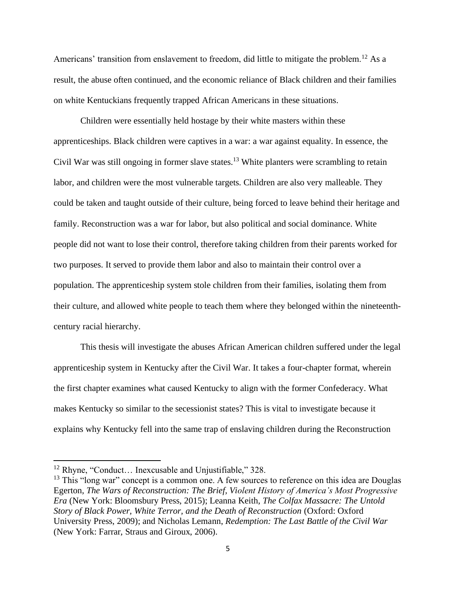Americans' transition from enslavement to freedom, did little to mitigate the problem.<sup>12</sup> As a result, the abuse often continued, and the economic reliance of Black children and their families on white Kentuckians frequently trapped African Americans in these situations.

Children were essentially held hostage by their white masters within these apprenticeships. Black children were captives in a war: a war against equality. In essence, the Civil War was still ongoing in former slave states.<sup>13</sup> White planters were scrambling to retain labor, and children were the most vulnerable targets. Children are also very malleable. They could be taken and taught outside of their culture, being forced to leave behind their heritage and family. Reconstruction was a war for labor, but also political and social dominance. White people did not want to lose their control, therefore taking children from their parents worked for two purposes. It served to provide them labor and also to maintain their control over a population. The apprenticeship system stole children from their families, isolating them from their culture, and allowed white people to teach them where they belonged within the nineteenthcentury racial hierarchy.

This thesis will investigate the abuses African American children suffered under the legal apprenticeship system in Kentucky after the Civil War. It takes a four-chapter format, wherein the first chapter examines what caused Kentucky to align with the former Confederacy. What makes Kentucky so similar to the secessionist states? This is vital to investigate because it explains why Kentucky fell into the same trap of enslaving children during the Reconstruction

<sup>&</sup>lt;sup>12</sup> Rhyne, "Conduct... Inexcusable and Unjustifiable," 328.

<sup>&</sup>lt;sup>13</sup> This "long war" concept is a common one. A few sources to reference on this idea are Douglas Egerton, *The Wars of Reconstruction: The Brief, Violent History of America's Most Progressive Era* (New York: Bloomsbury Press, 2015); Leanna Keith, *The Colfax Massacre: The Untold Story of Black Power, White Terror, and the Death of Reconstruction* (Oxford: Oxford University Press, 2009); and Nicholas Lemann, *Redemption: The Last Battle of the Civil War* (New York: Farrar, Straus and Giroux, 2006).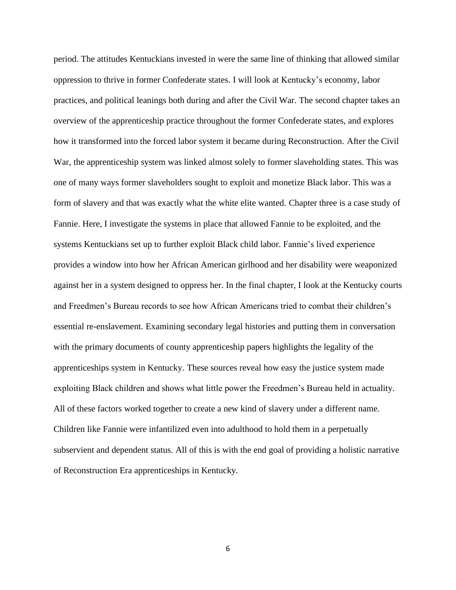period. The attitudes Kentuckians invested in were the same line of thinking that allowed similar oppression to thrive in former Confederate states. I will look at Kentucky's economy, labor practices, and political leanings both during and after the Civil War. The second chapter takes an overview of the apprenticeship practice throughout the former Confederate states, and explores how it transformed into the forced labor system it became during Reconstruction. After the Civil War, the apprenticeship system was linked almost solely to former slaveholding states. This was one of many ways former slaveholders sought to exploit and monetize Black labor. This was a form of slavery and that was exactly what the white elite wanted. Chapter three is a case study of Fannie. Here, I investigate the systems in place that allowed Fannie to be exploited, and the systems Kentuckians set up to further exploit Black child labor. Fannie's lived experience provides a window into how her African American girlhood and her disability were weaponized against her in a system designed to oppress her. In the final chapter, I look at the Kentucky courts and Freedmen's Bureau records to see how African Americans tried to combat their children's essential re-enslavement. Examining secondary legal histories and putting them in conversation with the primary documents of county apprenticeship papers highlights the legality of the apprenticeships system in Kentucky. These sources reveal how easy the justice system made exploiting Black children and shows what little power the Freedmen's Bureau held in actuality. All of these factors worked together to create a new kind of slavery under a different name. Children like Fannie were infantilized even into adulthood to hold them in a perpetually subservient and dependent status. All of this is with the end goal of providing a holistic narrative of Reconstruction Era apprenticeships in Kentucky.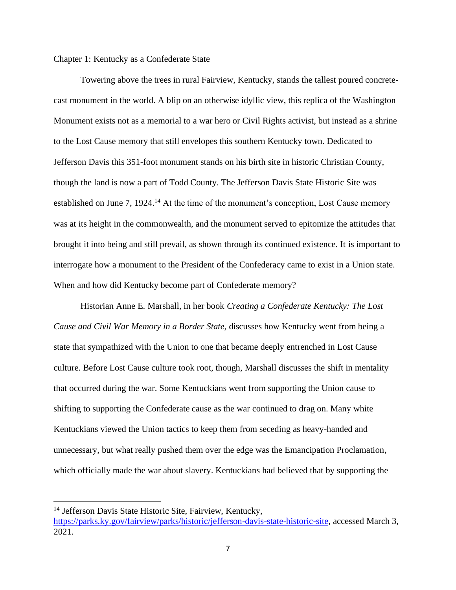Chapter 1: Kentucky as a Confederate State

Towering above the trees in rural Fairview, Kentucky, stands the tallest poured concretecast monument in the world. A blip on an otherwise idyllic view, this replica of the Washington Monument exists not as a memorial to a war hero or Civil Rights activist, but instead as a shrine to the Lost Cause memory that still envelopes this southern Kentucky town. Dedicated to Jefferson Davis this 351-foot monument stands on his birth site in historic Christian County, though the land is now a part of Todd County. The Jefferson Davis State Historic Site was established on June 7, 1924.<sup>14</sup> At the time of the monument's conception, Lost Cause memory was at its height in the commonwealth, and the monument served to epitomize the attitudes that brought it into being and still prevail, as shown through its continued existence. It is important to interrogate how a monument to the President of the Confederacy came to exist in a Union state. When and how did Kentucky become part of Confederate memory?

Historian Anne E. Marshall, in her book *Creating a Confederate Kentucky: The Lost Cause and Civil War Memory in a Border State,* discusses how Kentucky went from being a state that sympathized with the Union to one that became deeply entrenched in Lost Cause culture. Before Lost Cause culture took root, though, Marshall discusses the shift in mentality that occurred during the war. Some Kentuckians went from supporting the Union cause to shifting to supporting the Confederate cause as the war continued to drag on. Many white Kentuckians viewed the Union tactics to keep them from seceding as heavy-handed and unnecessary, but what really pushed them over the edge was the Emancipation Proclamation, which officially made the war about slavery. Kentuckians had believed that by supporting the

<sup>&</sup>lt;sup>14</sup> Jefferson Davis State Historic Site, Fairview, Kentucky,

[https://parks.ky.gov/fairview/parks/historic/jefferson-davis-state-historic-site,](https://parks.ky.gov/fairview/parks/historic/jefferson-davis-state-historic-site) accessed March 3, 2021.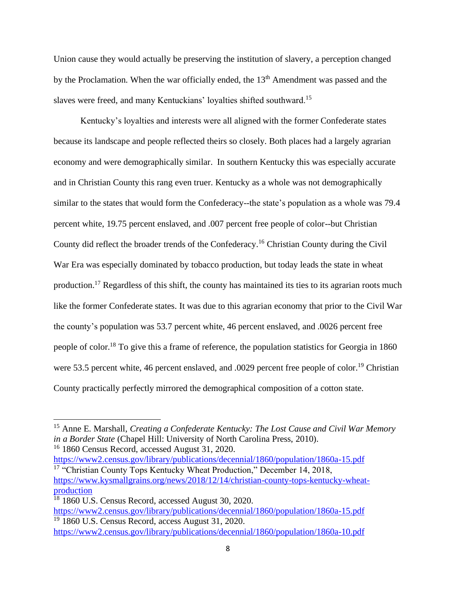Union cause they would actually be preserving the institution of slavery, a perception changed by the Proclamation. When the war officially ended, the 13<sup>th</sup> Amendment was passed and the slaves were freed, and many Kentuckians' loyalties shifted southward.<sup>15</sup>

Kentucky's loyalties and interests were all aligned with the former Confederate states because its landscape and people reflected theirs so closely. Both places had a largely agrarian economy and were demographically similar. In southern Kentucky this was especially accurate and in Christian County this rang even truer. Kentucky as a whole was not demographically similar to the states that would form the Confederacy--the state's population as a whole was 79.4 percent white, 19.75 percent enslaved, and .007 percent free people of color--but Christian County did reflect the broader trends of the Confederacy.<sup>16</sup> Christian County during the Civil War Era was especially dominated by tobacco production, but today leads the state in wheat production.<sup>17</sup> Regardless of this shift, the county has maintained its ties to its agrarian roots much like the former Confederate states. It was due to this agrarian economy that prior to the Civil War the county's population was 53.7 percent white, 46 percent enslaved, and .0026 percent free people of color.<sup>18</sup> To give this a frame of reference, the population statistics for Georgia in 1860 were 53.5 percent white, 46 percent enslaved, and .0029 percent free people of color.<sup>19</sup> Christian County practically perfectly mirrored the demographical composition of a cotton state.

<https://www2.census.gov/library/publications/decennial/1860/population/1860a-15.pdf> <sup>17</sup> "Christian County Tops Kentucky Wheat Production," December 14, 2018, [https://www.kysmallgrains.org/news/2018/12/14/christian-county-tops-kentucky-wheat](https://www.kysmallgrains.org/news/2018/12/14/christian-county-tops-kentucky-wheat-production)[production](https://www.kysmallgrains.org/news/2018/12/14/christian-county-tops-kentucky-wheat-production)

<sup>15</sup> Anne E. Marshall, *Creating a Confederate Kentucky: The Lost Cause and Civil War Memory in a Border State* (Chapel Hill: University of North Carolina Press, 2010). <sup>16</sup> 1860 Census Record, accessed August 31, 2020.

<sup>&</sup>lt;sup>18</sup> 1860 U.S. Census Record, accessed August 30, 2020. <https://www2.census.gov/library/publications/decennial/1860/population/1860a-15.pdf>  $19\overline{1860}$  U.S. Census Record, access August 31, 2020. <https://www2.census.gov/library/publications/decennial/1860/population/1860a-10.pdf>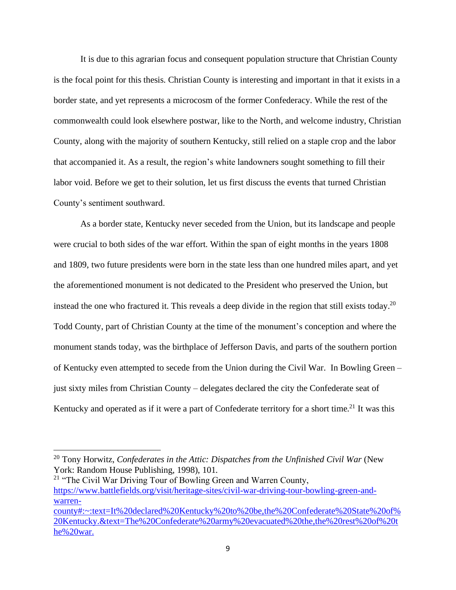It is due to this agrarian focus and consequent population structure that Christian County is the focal point for this thesis. Christian County is interesting and important in that it exists in a border state, and yet represents a microcosm of the former Confederacy. While the rest of the commonwealth could look elsewhere postwar, like to the North, and welcome industry, Christian County, along with the majority of southern Kentucky, still relied on a staple crop and the labor that accompanied it. As a result, the region's white landowners sought something to fill their labor void. Before we get to their solution, let us first discuss the events that turned Christian County's sentiment southward.

As a border state, Kentucky never seceded from the Union, but its landscape and people were crucial to both sides of the war effort. Within the span of eight months in the years 1808 and 1809, two future presidents were born in the state less than one hundred miles apart, and yet the aforementioned monument is not dedicated to the President who preserved the Union, but instead the one who fractured it. This reveals a deep divide in the region that still exists today.<sup>20</sup> Todd County, part of Christian County at the time of the monument's conception and where the monument stands today, was the birthplace of Jefferson Davis, and parts of the southern portion of Kentucky even attempted to secede from the Union during the Civil War. In Bowling Green – just sixty miles from Christian County – delegates declared the city the Confederate seat of Kentucky and operated as if it were a part of Confederate territory for a short time.<sup>21</sup> It was this

<sup>20</sup> Tony Horwitz, *Confederates in the Attic: Dispatches from the Unfinished Civil War* (New York: Random House Publishing, 1998), 101.

<sup>&</sup>lt;sup>21</sup> "The Civil War Driving Tour of Bowling Green and Warren County, [https://www.battlefields.org/visit/heritage-sites/civil-war-driving-tour-bowling-green-and](https://www.battlefields.org/visit/heritage-sites/civil-war-driving-tour-bowling-green-and-warren-county#:~:text=It%20declared%20Kentucky%20to%20be,the%20Confederate%20State%20of%20Kentucky.&text=The%20Confederate%20army%20evacuated%20the,the%20rest%20of%20the%20war.)[warren-](https://www.battlefields.org/visit/heritage-sites/civil-war-driving-tour-bowling-green-and-warren-county#:~:text=It%20declared%20Kentucky%20to%20be,the%20Confederate%20State%20of%20Kentucky.&text=The%20Confederate%20army%20evacuated%20the,the%20rest%20of%20the%20war.)

[county#:~:text=It%20declared%20Kentucky%20to%20be,the%20Confederate%20State%20of%](https://www.battlefields.org/visit/heritage-sites/civil-war-driving-tour-bowling-green-and-warren-county#:~:text=It%20declared%20Kentucky%20to%20be,the%20Confederate%20State%20of%20Kentucky.&text=The%20Confederate%20army%20evacuated%20the,the%20rest%20of%20the%20war.) [20Kentucky.&text=The%20Confederate%20army%20evacuated%20the,the%20rest%20of%20t](https://www.battlefields.org/visit/heritage-sites/civil-war-driving-tour-bowling-green-and-warren-county#:~:text=It%20declared%20Kentucky%20to%20be,the%20Confederate%20State%20of%20Kentucky.&text=The%20Confederate%20army%20evacuated%20the,the%20rest%20of%20the%20war.) [he%20war.](https://www.battlefields.org/visit/heritage-sites/civil-war-driving-tour-bowling-green-and-warren-county#:~:text=It%20declared%20Kentucky%20to%20be,the%20Confederate%20State%20of%20Kentucky.&text=The%20Confederate%20army%20evacuated%20the,the%20rest%20of%20the%20war.)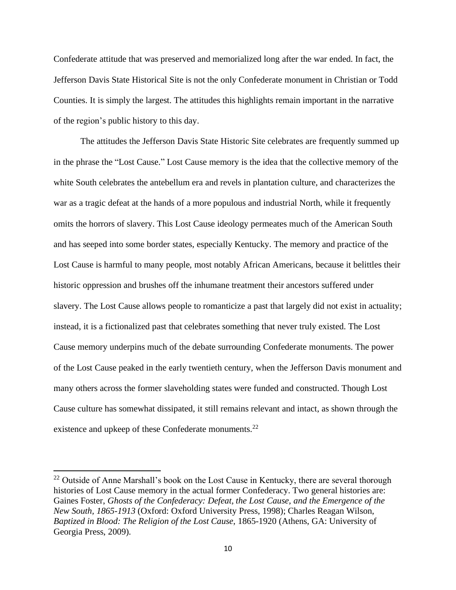Confederate attitude that was preserved and memorialized long after the war ended. In fact, the Jefferson Davis State Historical Site is not the only Confederate monument in Christian or Todd Counties. It is simply the largest. The attitudes this highlights remain important in the narrative of the region's public history to this day.

The attitudes the Jefferson Davis State Historic Site celebrates are frequently summed up in the phrase the "Lost Cause." Lost Cause memory is the idea that the collective memory of the white South celebrates the antebellum era and revels in plantation culture, and characterizes the war as a tragic defeat at the hands of a more populous and industrial North, while it frequently omits the horrors of slavery. This Lost Cause ideology permeates much of the American South and has seeped into some border states, especially Kentucky. The memory and practice of the Lost Cause is harmful to many people, most notably African Americans, because it belittles their historic oppression and brushes off the inhumane treatment their ancestors suffered under slavery. The Lost Cause allows people to romanticize a past that largely did not exist in actuality; instead, it is a fictionalized past that celebrates something that never truly existed. The Lost Cause memory underpins much of the debate surrounding Confederate monuments. The power of the Lost Cause peaked in the early twentieth century, when the Jefferson Davis monument and many others across the former slaveholding states were funded and constructed. Though Lost Cause culture has somewhat dissipated, it still remains relevant and intact, as shown through the existence and upkeep of these Confederate monuments.<sup>22</sup>

<sup>&</sup>lt;sup>22</sup> Outside of Anne Marshall's book on the Lost Cause in Kentucky, there are several thorough histories of Lost Cause memory in the actual former Confederacy. Two general histories are: Gaines Foster, *Ghosts of the Confederacy: Defeat, the Lost Cause, and the Emergence of the New South, 1865-1913* (Oxford: Oxford University Press, 1998); Charles Reagan Wilson, *Baptized in Blood: The Religion of the Lost Cause*, 1865-1920 (Athens, GA: University of Georgia Press, 2009).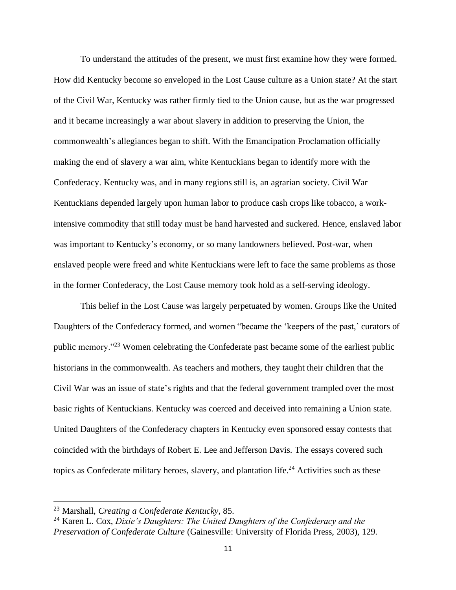To understand the attitudes of the present, we must first examine how they were formed. How did Kentucky become so enveloped in the Lost Cause culture as a Union state? At the start of the Civil War, Kentucky was rather firmly tied to the Union cause, but as the war progressed and it became increasingly a war about slavery in addition to preserving the Union, the commonwealth's allegiances began to shift. With the Emancipation Proclamation officially making the end of slavery a war aim, white Kentuckians began to identify more with the Confederacy. Kentucky was, and in many regions still is, an agrarian society. Civil War Kentuckians depended largely upon human labor to produce cash crops like tobacco, a workintensive commodity that still today must be hand harvested and suckered. Hence, enslaved labor was important to Kentucky's economy, or so many landowners believed. Post-war, when enslaved people were freed and white Kentuckians were left to face the same problems as those in the former Confederacy, the Lost Cause memory took hold as a self-serving ideology.

This belief in the Lost Cause was largely perpetuated by women. Groups like the United Daughters of the Confederacy formed, and women "became the 'keepers of the past,' curators of public memory."<sup>23</sup> Women celebrating the Confederate past became some of the earliest public historians in the commonwealth. As teachers and mothers, they taught their children that the Civil War was an issue of state's rights and that the federal government trampled over the most basic rights of Kentuckians. Kentucky was coerced and deceived into remaining a Union state. United Daughters of the Confederacy chapters in Kentucky even sponsored essay contests that coincided with the birthdays of Robert E. Lee and Jefferson Davis. The essays covered such topics as Confederate military heroes, slavery, and plantation life.<sup>24</sup> Activities such as these

<sup>23</sup> Marshall, *Creating a Confederate Kentucky*, 85.

<sup>24</sup> Karen L. Cox, *Dixie's Daughters: The United Daughters of the Confederacy and the Preservation of Confederate Culture* (Gainesville: University of Florida Press, 2003), 129.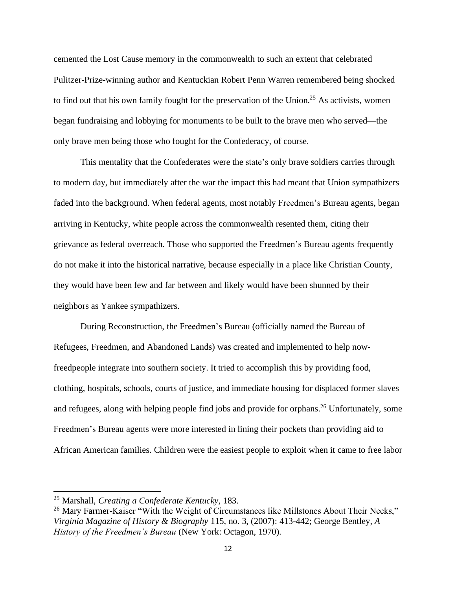cemented the Lost Cause memory in the commonwealth to such an extent that celebrated Pulitzer-Prize-winning author and Kentuckian Robert Penn Warren remembered being shocked to find out that his own family fought for the preservation of the Union.<sup>25</sup> As activists, women began fundraising and lobbying for monuments to be built to the brave men who served—the only brave men being those who fought for the Confederacy, of course.

This mentality that the Confederates were the state's only brave soldiers carries through to modern day, but immediately after the war the impact this had meant that Union sympathizers faded into the background. When federal agents, most notably Freedmen's Bureau agents, began arriving in Kentucky, white people across the commonwealth resented them, citing their grievance as federal overreach. Those who supported the Freedmen's Bureau agents frequently do not make it into the historical narrative, because especially in a place like Christian County, they would have been few and far between and likely would have been shunned by their neighbors as Yankee sympathizers.

During Reconstruction, the Freedmen's Bureau (officially named the Bureau of Refugees, Freedmen, and Abandoned Lands) was created and implemented to help nowfreedpeople integrate into southern society. It tried to accomplish this by providing food, clothing, hospitals, schools, courts of justice, and immediate housing for displaced former slaves and refugees, along with helping people find jobs and provide for orphans.<sup>26</sup> Unfortunately, some Freedmen's Bureau agents were more interested in lining their pockets than providing aid to African American families. Children were the easiest people to exploit when it came to free labor

<sup>25</sup> Marshall, *Creating a Confederate Kentucky*, 183.

<sup>&</sup>lt;sup>26</sup> Mary Farmer-Kaiser "With the Weight of Circumstances like Millstones About Their Necks," *Virginia Magazine of History & Biography* 115, no. 3, (2007): 413-442; George Bentley, *A History of the Freedmen's Bureau* (New York: Octagon, 1970).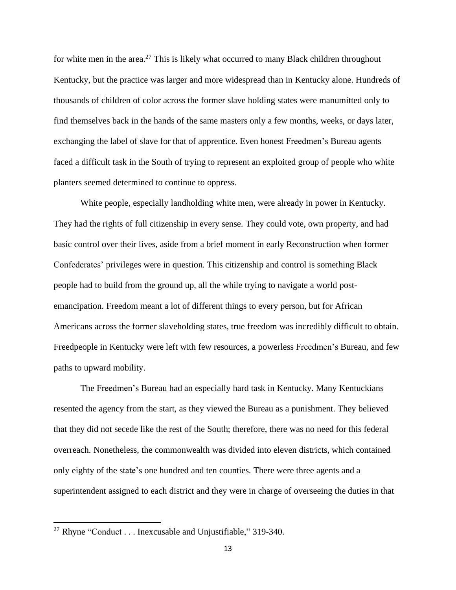for white men in the area.<sup>27</sup> This is likely what occurred to many Black children throughout Kentucky, but the practice was larger and more widespread than in Kentucky alone. Hundreds of thousands of children of color across the former slave holding states were manumitted only to find themselves back in the hands of the same masters only a few months, weeks, or days later, exchanging the label of slave for that of apprentice. Even honest Freedmen's Bureau agents faced a difficult task in the South of trying to represent an exploited group of people who white planters seemed determined to continue to oppress.

White people, especially landholding white men, were already in power in Kentucky. They had the rights of full citizenship in every sense. They could vote, own property, and had basic control over their lives, aside from a brief moment in early Reconstruction when former Confederates' privileges were in question. This citizenship and control is something Black people had to build from the ground up, all the while trying to navigate a world postemancipation. Freedom meant a lot of different things to every person, but for African Americans across the former slaveholding states, true freedom was incredibly difficult to obtain. Freedpeople in Kentucky were left with few resources, a powerless Freedmen's Bureau, and few paths to upward mobility.

The Freedmen's Bureau had an especially hard task in Kentucky. Many Kentuckians resented the agency from the start, as they viewed the Bureau as a punishment. They believed that they did not secede like the rest of the South; therefore, there was no need for this federal overreach. Nonetheless, the commonwealth was divided into eleven districts, which contained only eighty of the state's one hundred and ten counties. There were three agents and a superintendent assigned to each district and they were in charge of overseeing the duties in that

<sup>&</sup>lt;sup>27</sup> Rhyne "Conduct . . . Inexcusable and Unjustifiable," 319-340.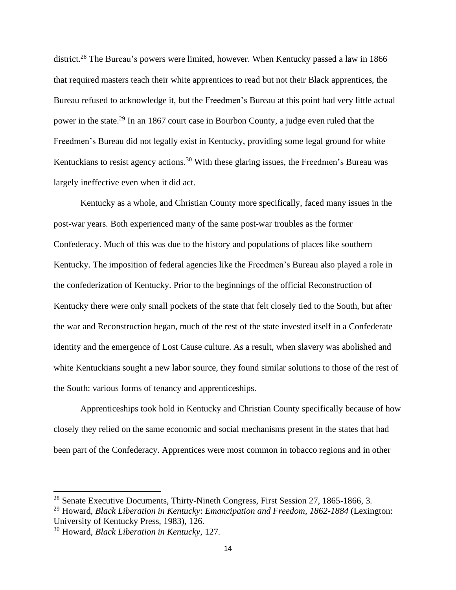district.<sup>28</sup> The Bureau's powers were limited, however. When Kentucky passed a law in 1866 that required masters teach their white apprentices to read but not their Black apprentices, the Bureau refused to acknowledge it, but the Freedmen's Bureau at this point had very little actual power in the state.<sup>29</sup> In an 1867 court case in Bourbon County, a judge even ruled that the Freedmen's Bureau did not legally exist in Kentucky, providing some legal ground for white Kentuckians to resist agency actions.<sup>30</sup> With these glaring issues, the Freedmen's Bureau was largely ineffective even when it did act.

Kentucky as a whole, and Christian County more specifically, faced many issues in the post-war years. Both experienced many of the same post-war troubles as the former Confederacy. Much of this was due to the history and populations of places like southern Kentucky. The imposition of federal agencies like the Freedmen's Bureau also played a role in the confederization of Kentucky. Prior to the beginnings of the official Reconstruction of Kentucky there were only small pockets of the state that felt closely tied to the South, but after the war and Reconstruction began, much of the rest of the state invested itself in a Confederate identity and the emergence of Lost Cause culture. As a result, when slavery was abolished and white Kentuckians sought a new labor source, they found similar solutions to those of the rest of the South: various forms of tenancy and apprenticeships.

Apprenticeships took hold in Kentucky and Christian County specifically because of how closely they relied on the same economic and social mechanisms present in the states that had been part of the Confederacy. Apprentices were most common in tobacco regions and in other

<sup>&</sup>lt;sup>28</sup> Senate Executive Documents, Thirty-Nineth Congress, First Session 27, 1865-1866, 3.

<sup>29</sup> Howard, *Black Liberation in Kentucky*: *Emancipation and Freedom, 1862-1884* (Lexington: University of Kentucky Press, 1983), 126.

<sup>30</sup> Howard, *Black Liberation in Kentucky*, 127.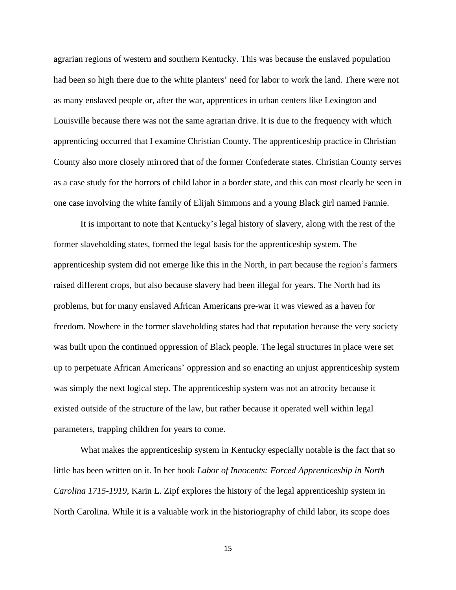agrarian regions of western and southern Kentucky. This was because the enslaved population had been so high there due to the white planters' need for labor to work the land. There were not as many enslaved people or, after the war, apprentices in urban centers like Lexington and Louisville because there was not the same agrarian drive. It is due to the frequency with which apprenticing occurred that I examine Christian County. The apprenticeship practice in Christian County also more closely mirrored that of the former Confederate states. Christian County serves as a case study for the horrors of child labor in a border state, and this can most clearly be seen in one case involving the white family of Elijah Simmons and a young Black girl named Fannie.

It is important to note that Kentucky's legal history of slavery, along with the rest of the former slaveholding states, formed the legal basis for the apprenticeship system. The apprenticeship system did not emerge like this in the North, in part because the region's farmers raised different crops, but also because slavery had been illegal for years. The North had its problems, but for many enslaved African Americans pre-war it was viewed as a haven for freedom. Nowhere in the former slaveholding states had that reputation because the very society was built upon the continued oppression of Black people. The legal structures in place were set up to perpetuate African Americans' oppression and so enacting an unjust apprenticeship system was simply the next logical step. The apprenticeship system was not an atrocity because it existed outside of the structure of the law, but rather because it operated well within legal parameters, trapping children for years to come.

What makes the apprenticeship system in Kentucky especially notable is the fact that so little has been written on it. In her book *Labor of Innocents: Forced Apprenticeship in North Carolina 1715-1919*, Karin L. Zipf explores the history of the legal apprenticeship system in North Carolina. While it is a valuable work in the historiography of child labor, its scope does

15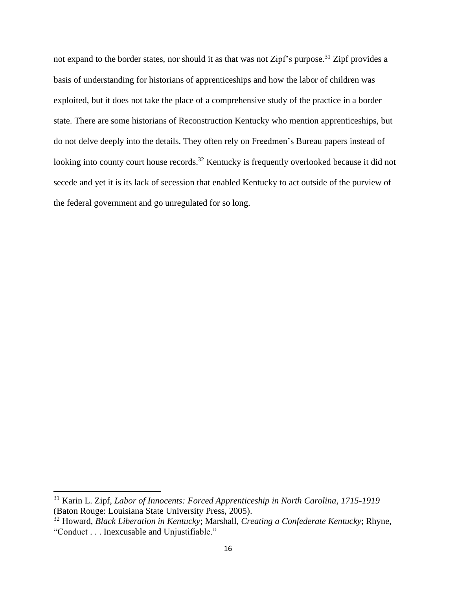not expand to the border states, nor should it as that was not Zipf's purpose.<sup>31</sup> Zipf provides a basis of understanding for historians of apprenticeships and how the labor of children was exploited, but it does not take the place of a comprehensive study of the practice in a border state. There are some historians of Reconstruction Kentucky who mention apprenticeships, but do not delve deeply into the details. They often rely on Freedmen's Bureau papers instead of looking into county court house records.<sup>32</sup> Kentucky is frequently overlooked because it did not secede and yet it is its lack of secession that enabled Kentucky to act outside of the purview of the federal government and go unregulated for so long.

<sup>31</sup> Karin L. Zipf, *Labor of Innocents: Forced Apprenticeship in North Carolina, 1715-1919* (Baton Rouge: Louisiana State University Press, 2005).

<sup>32</sup> Howard, *Black Liberation in Kentucky*; Marshall, *Creating a Confederate Kentucky*; Rhyne, "Conduct . . . Inexcusable and Unjustifiable."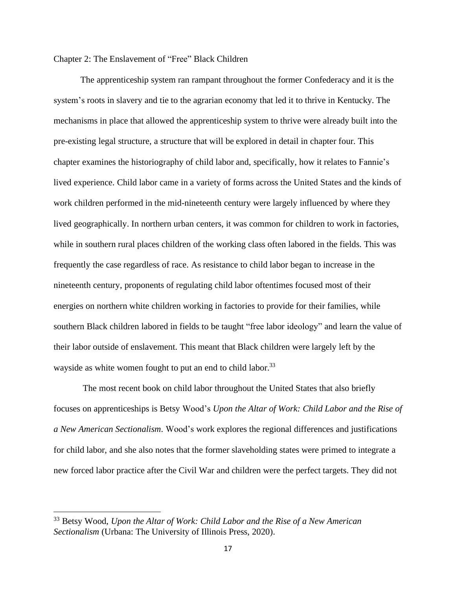## Chapter 2: The Enslavement of "Free" Black Children

The apprenticeship system ran rampant throughout the former Confederacy and it is the system's roots in slavery and tie to the agrarian economy that led it to thrive in Kentucky. The mechanisms in place that allowed the apprenticeship system to thrive were already built into the pre-existing legal structure, a structure that will be explored in detail in chapter four. This chapter examines the historiography of child labor and, specifically, how it relates to Fannie's lived experience. Child labor came in a variety of forms across the United States and the kinds of work children performed in the mid-nineteenth century were largely influenced by where they lived geographically. In northern urban centers, it was common for children to work in factories, while in southern rural places children of the working class often labored in the fields. This was frequently the case regardless of race. As resistance to child labor began to increase in the nineteenth century, proponents of regulating child labor oftentimes focused most of their energies on northern white children working in factories to provide for their families, while southern Black children labored in fields to be taught "free labor ideology" and learn the value of their labor outside of enslavement. This meant that Black children were largely left by the wayside as white women fought to put an end to child labor.<sup>33</sup>

The most recent book on child labor throughout the United States that also briefly focuses on apprenticeships is Betsy Wood's *Upon the Altar of Work: Child Labor and the Rise of a New American Sectionalism*. Wood's work explores the regional differences and justifications for child labor, and she also notes that the former slaveholding states were primed to integrate a new forced labor practice after the Civil War and children were the perfect targets. They did not

<sup>33</sup> Betsy Wood, *Upon the Altar of Work: Child Labor and the Rise of a New American Sectionalism* (Urbana: The University of Illinois Press, 2020).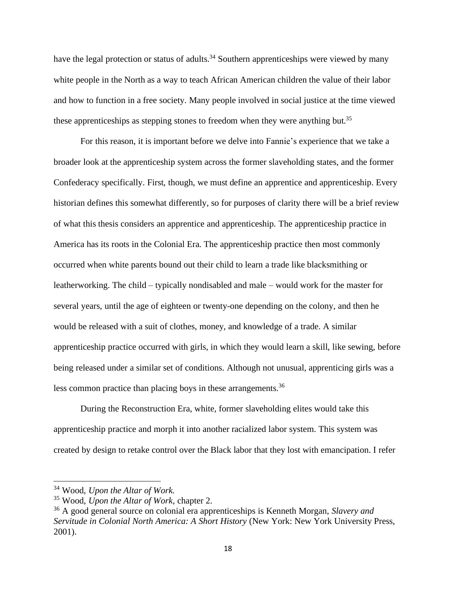have the legal protection or status of adults.<sup>34</sup> Southern apprenticeships were viewed by many white people in the North as a way to teach African American children the value of their labor and how to function in a free society. Many people involved in social justice at the time viewed these apprenticeships as stepping stones to freedom when they were anything but.<sup>35</sup>

For this reason, it is important before we delve into Fannie's experience that we take a broader look at the apprenticeship system across the former slaveholding states, and the former Confederacy specifically. First, though, we must define an apprentice and apprenticeship. Every historian defines this somewhat differently, so for purposes of clarity there will be a brief review of what this thesis considers an apprentice and apprenticeship. The apprenticeship practice in America has its roots in the Colonial Era. The apprenticeship practice then most commonly occurred when white parents bound out their child to learn a trade like blacksmithing or leatherworking. The child – typically nondisabled and male – would work for the master for several years, until the age of eighteen or twenty-one depending on the colony, and then he would be released with a suit of clothes, money, and knowledge of a trade. A similar apprenticeship practice occurred with girls, in which they would learn a skill, like sewing, before being released under a similar set of conditions. Although not unusual, apprenticing girls was a less common practice than placing boys in these arrangements.<sup>36</sup>

During the Reconstruction Era, white, former slaveholding elites would take this apprenticeship practice and morph it into another racialized labor system. This system was created by design to retake control over the Black labor that they lost with emancipation. I refer

<sup>34</sup> Wood, *Upon the Altar of Work.*

<sup>35</sup> Wood, *Upon the Altar of Work*, chapter 2.

<sup>36</sup> A good general source on colonial era apprenticeships is Kenneth Morgan, *Slavery and Servitude in Colonial North America: A Short History* (New York: New York University Press, 2001).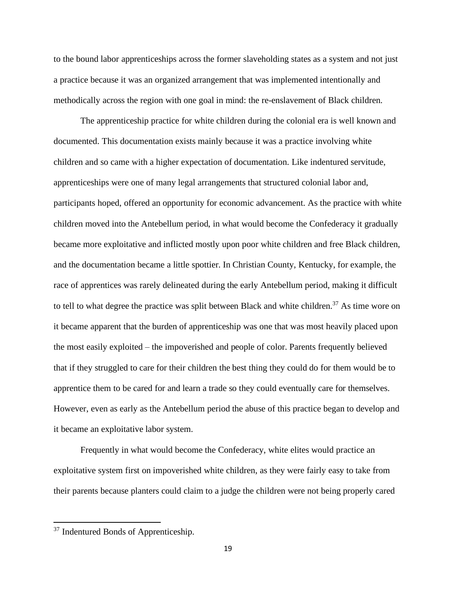to the bound labor apprenticeships across the former slaveholding states as a system and not just a practice because it was an organized arrangement that was implemented intentionally and methodically across the region with one goal in mind: the re-enslavement of Black children.

The apprenticeship practice for white children during the colonial era is well known and documented. This documentation exists mainly because it was a practice involving white children and so came with a higher expectation of documentation. Like indentured servitude, apprenticeships were one of many legal arrangements that structured colonial labor and, participants hoped, offered an opportunity for economic advancement. As the practice with white children moved into the Antebellum period, in what would become the Confederacy it gradually became more exploitative and inflicted mostly upon poor white children and free Black children, and the documentation became a little spottier. In Christian County, Kentucky, for example, the race of apprentices was rarely delineated during the early Antebellum period, making it difficult to tell to what degree the practice was split between Black and white children.<sup>37</sup> As time wore on it became apparent that the burden of apprenticeship was one that was most heavily placed upon the most easily exploited – the impoverished and people of color. Parents frequently believed that if they struggled to care for their children the best thing they could do for them would be to apprentice them to be cared for and learn a trade so they could eventually care for themselves. However, even as early as the Antebellum period the abuse of this practice began to develop and it became an exploitative labor system.

Frequently in what would become the Confederacy, white elites would practice an exploitative system first on impoverished white children, as they were fairly easy to take from their parents because planters could claim to a judge the children were not being properly cared

<sup>&</sup>lt;sup>37</sup> Indentured Bonds of Apprenticeship.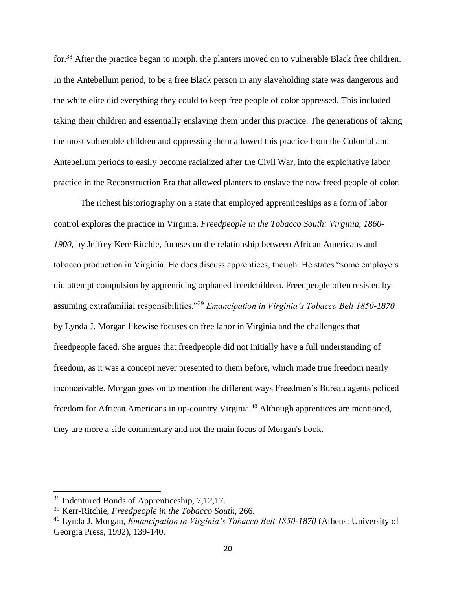for.<sup>38</sup> After the practice began to morph, the planters moved on to vulnerable Black free children. In the Antebellum period, to be a free Black person in any slaveholding state was dangerous and the white elite did everything they could to keep free people of color oppressed. This included taking their children and essentially enslaving them under this practice. The generations of taking the most vulnerable children and oppressing them allowed this practice from the Colonial and Antebellum periods to easily become racialized after the Civil War, into the exploitative labor practice in the Reconstruction Era that allowed planters to enslave the now freed people of color.

The richest historiography on a state that employed apprenticeships as a form of labor control explores the practice in Virginia. *Freedpeople in the Tobacco South: Virginia, 1860- 1900*, by Jeffrey Kerr-Ritchie, focuses on the relationship between African Americans and tobacco production in Virginia. He does discuss apprentices, though. He states "some employers did attempt compulsion by apprenticing orphaned freedchildren. Freedpeople often resisted by assuming extrafamilial responsibilities."<sup>39</sup> *Emancipation in Virginia's Tobacco Belt 1850-1870*  by Lynda J. Morgan likewise focuses on free labor in Virginia and the challenges that freedpeople faced. She argues that freedpeople did not initially have a full understanding of freedom, as it was a concept never presented to them before, which made true freedom nearly inconceivable. Morgan goes on to mention the different ways Freedmen's Bureau agents policed freedom for African Americans in up-country Virginia.<sup>40</sup> Although apprentices are mentioned, they are more a side commentary and not the main focus of Morgan's book.

<sup>38</sup> Indentured Bonds of Apprenticeship, 7,12,17.

<sup>39</sup> Kerr-Ritchie, *Freedpeople in the Tobacco South*, 266.

<sup>40</sup> Lynda J. Morgan, *Emancipation in Virginia's Tobacco Belt 1850-1870* (Athens: University of Georgia Press, 1992), 139-140.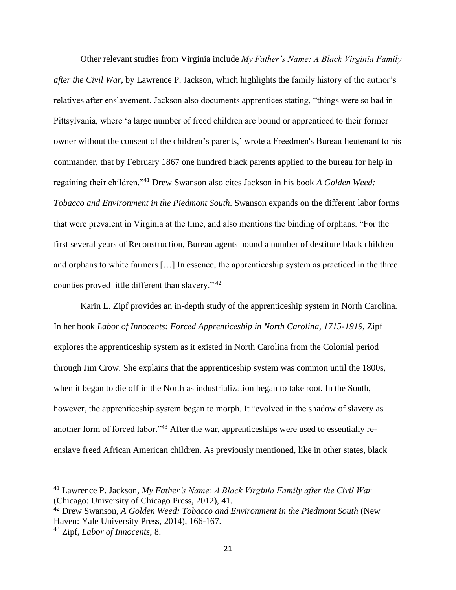Other relevant studies from Virginia include *My Father's Name: A Black Virginia Family after the Civil War*, by Lawrence P. Jackson, which highlights the family history of the author's relatives after enslavement. Jackson also documents apprentices stating, "things were so bad in Pittsylvania, where 'a large number of freed children are bound or apprenticed to their former owner without the consent of the children's parents,' wrote a Freedmen's Bureau lieutenant to his commander, that by February 1867 one hundred black parents applied to the bureau for help in regaining their children."<sup>41</sup> Drew Swanson also cites Jackson in his book *A Golden Weed: Tobacco and Environment in the Piedmont South*. Swanson expands on the different labor forms that were prevalent in Virginia at the time, and also mentions the binding of orphans. "For the first several years of Reconstruction, Bureau agents bound a number of destitute black children and orphans to white farmers […] In essence, the apprenticeship system as practiced in the three counties proved little different than slavery." <sup>42</sup>

Karin L. Zipf provides an in-depth study of the apprenticeship system in North Carolina. In her book *Labor of Innocents: Forced Apprenticeship in North Carolina, 1715-1919*, Zipf explores the apprenticeship system as it existed in North Carolina from the Colonial period through Jim Crow. She explains that the apprenticeship system was common until the 1800s, when it began to die off in the North as industrialization began to take root. In the South, however, the apprenticeship system began to morph. It "evolved in the shadow of slavery as another form of forced labor."<sup>43</sup> After the war, apprenticeships were used to essentially reenslave freed African American children. As previously mentioned, like in other states, black

<sup>41</sup> Lawrence P. Jackson*, My Father's Name: A Black Virginia Family after the Civil War* (Chicago: University of Chicago Press, 2012), 41.

<sup>42</sup> Drew Swanson, *A Golden Weed: Tobacco and Environment in the Piedmont South* (New Haven: Yale University Press, 2014), 166-167.

<sup>43</sup> Zipf, *Labor of Innocents*, 8.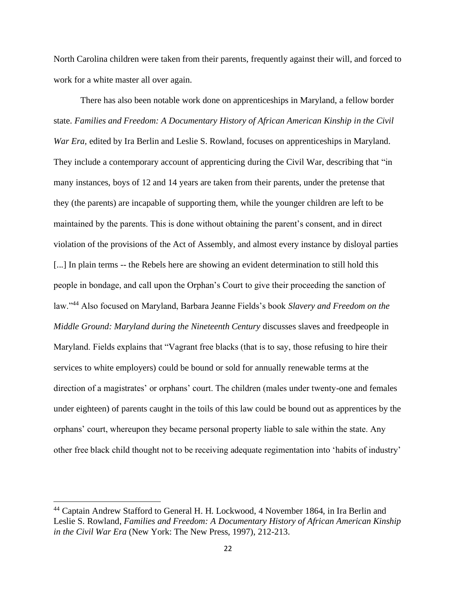North Carolina children were taken from their parents, frequently against their will, and forced to work for a white master all over again.

There has also been notable work done on apprenticeships in Maryland, a fellow border state. *Families and Freedom: A Documentary History of African American Kinship in the Civil War Era, edited by Ira Berlin and Leslie S. Rowland, focuses on apprenticeships in Maryland.* They include a contemporary account of apprenticing during the Civil War, describing that "in many instances, boys of 12 and 14 years are taken from their parents, under the pretense that they (the parents) are incapable of supporting them, while the younger children are left to be maintained by the parents. This is done without obtaining the parent's consent, and in direct violation of the provisions of the Act of Assembly, and almost every instance by disloyal parties [...] In plain terms -- the Rebels here are showing an evident determination to still hold this people in bondage, and call upon the Orphan's Court to give their proceeding the sanction of law."<sup>44</sup> Also focused on Maryland, Barbara Jeanne Fields's book *Slavery and Freedom on the Middle Ground: Maryland during the Nineteenth Century* discusses slaves and freedpeople in Maryland. Fields explains that "Vagrant free blacks (that is to say, those refusing to hire their services to white employers) could be bound or sold for annually renewable terms at the direction of a magistrates' or orphans' court. The children (males under twenty-one and females under eighteen) of parents caught in the toils of this law could be bound out as apprentices by the orphans' court, whereupon they became personal property liable to sale within the state. Any other free black child thought not to be receiving adequate regimentation into 'habits of industry'

<sup>44</sup> Captain Andrew Stafford to General H. H. Lockwood, 4 November 1864, in Ira Berlin and Leslie S. Rowland, *Families and Freedom: A Documentary History of African American Kinship in the Civil War Era* (New York: The New Press, 1997), 212-213.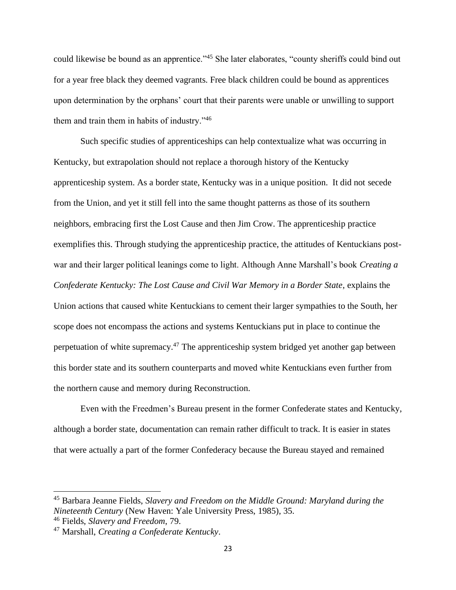could likewise be bound as an apprentice."<sup>45</sup> She later elaborates, "county sheriffs could bind out for a year free black they deemed vagrants. Free black children could be bound as apprentices upon determination by the orphans' court that their parents were unable or unwilling to support them and train them in habits of industry."<sup>46</sup>

Such specific studies of apprenticeships can help contextualize what was occurring in Kentucky, but extrapolation should not replace a thorough history of the Kentucky apprenticeship system. As a border state, Kentucky was in a unique position. It did not secede from the Union, and yet it still fell into the same thought patterns as those of its southern neighbors, embracing first the Lost Cause and then Jim Crow. The apprenticeship practice exemplifies this. Through studying the apprenticeship practice, the attitudes of Kentuckians postwar and their larger political leanings come to light. Although Anne Marshall's book *Creating a Confederate Kentucky: The Lost Cause and Civil War Memory in a Border State*, explains the Union actions that caused white Kentuckians to cement their larger sympathies to the South, her scope does not encompass the actions and systems Kentuckians put in place to continue the perpetuation of white supremacy.<sup>47</sup> The apprenticeship system bridged yet another gap between this border state and its southern counterparts and moved white Kentuckians even further from the northern cause and memory during Reconstruction.

Even with the Freedmen's Bureau present in the former Confederate states and Kentucky, although a border state, documentation can remain rather difficult to track. It is easier in states that were actually a part of the former Confederacy because the Bureau stayed and remained

<sup>45</sup> Barbara Jeanne Fields, *Slavery and Freedom on the Middle Ground: Maryland during the Nineteenth Century* (New Haven: Yale University Press, 1985), 35.

<sup>46</sup> Fields, *Slavery and Freedom*, 79.

<sup>47</sup> Marshall, *Creating a Confederate Kentucky*.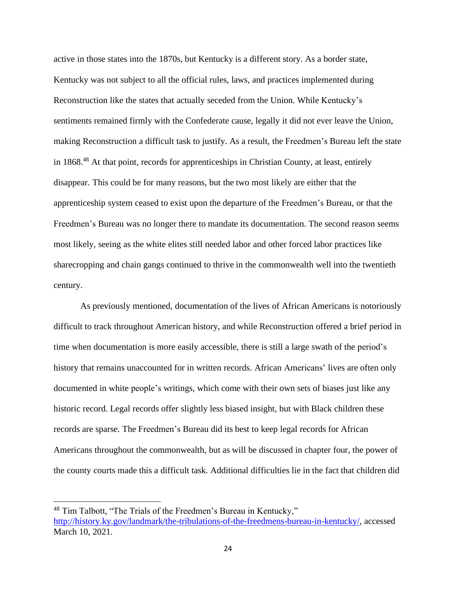active in those states into the 1870s, but Kentucky is a different story. As a border state, Kentucky was not subject to all the official rules, laws, and practices implemented during Reconstruction like the states that actually seceded from the Union. While Kentucky's sentiments remained firmly with the Confederate cause, legally it did not ever leave the Union, making Reconstruction a difficult task to justify. As a result, the Freedmen's Bureau left the state in 1868.<sup>48</sup> At that point, records for apprenticeships in Christian County, at least, entirely disappear. This could be for many reasons, but the two most likely are either that the apprenticeship system ceased to exist upon the departure of the Freedmen's Bureau, or that the Freedmen's Bureau was no longer there to mandate its documentation. The second reason seems most likely, seeing as the white elites still needed labor and other forced labor practices like sharecropping and chain gangs continued to thrive in the commonwealth well into the twentieth century.

As previously mentioned, documentation of the lives of African Americans is notoriously difficult to track throughout American history, and while Reconstruction offered a brief period in time when documentation is more easily accessible, there is still a large swath of the period's history that remains unaccounted for in written records. African Americans' lives are often only documented in white people's writings, which come with their own sets of biases just like any historic record. Legal records offer slightly less biased insight, but with Black children these records are sparse. The Freedmen's Bureau did its best to keep legal records for African Americans throughout the commonwealth, but as will be discussed in chapter four, the power of the county courts made this a difficult task. Additional difficulties lie in the fact that children did

<sup>48</sup> Tim Talbott, "The Trials of the Freedmen's Bureau in Kentucky," [http://history.ky.gov/landmark/the-tribulations-of-the-freedmens-bureau-in-kentucky/,](http://history.ky.gov/landmark/the-tribulations-of-the-freedmens-bureau-in-kentucky/) accessed March 10, 2021.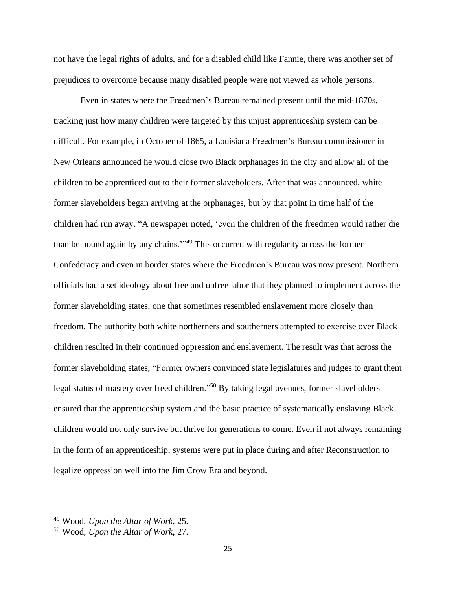not have the legal rights of adults, and for a disabled child like Fannie, there was another set of prejudices to overcome because many disabled people were not viewed as whole persons.

Even in states where the Freedmen's Bureau remained present until the mid-1870s, tracking just how many children were targeted by this unjust apprenticeship system can be difficult. For example, in October of 1865, a Louisiana Freedmen's Bureau commissioner in New Orleans announced he would close two Black orphanages in the city and allow all of the children to be apprenticed out to their former slaveholders. After that was announced, white former slaveholders began arriving at the orphanages, but by that point in time half of the children had run away. "A newspaper noted, 'even the children of the freedmen would rather die than be bound again by any chains.'"<sup>49</sup> This occurred with regularity across the former Confederacy and even in border states where the Freedmen's Bureau was now present. Northern officials had a set ideology about free and unfree labor that they planned to implement across the former slaveholding states, one that sometimes resembled enslavement more closely than freedom. The authority both white northerners and southerners attempted to exercise over Black children resulted in their continued oppression and enslavement. The result was that across the former slaveholding states, "Former owners convinced state legislatures and judges to grant them legal status of mastery over freed children."<sup>50</sup> By taking legal avenues, former slaveholders ensured that the apprenticeship system and the basic practice of systematically enslaving Black children would not only survive but thrive for generations to come. Even if not always remaining in the form of an apprenticeship, systems were put in place during and after Reconstruction to legalize oppression well into the Jim Crow Era and beyond.

<sup>49</sup> Wood, *Upon the Altar of Work*, 25.

<sup>50</sup> Wood, *Upon the Altar of Work*, 27.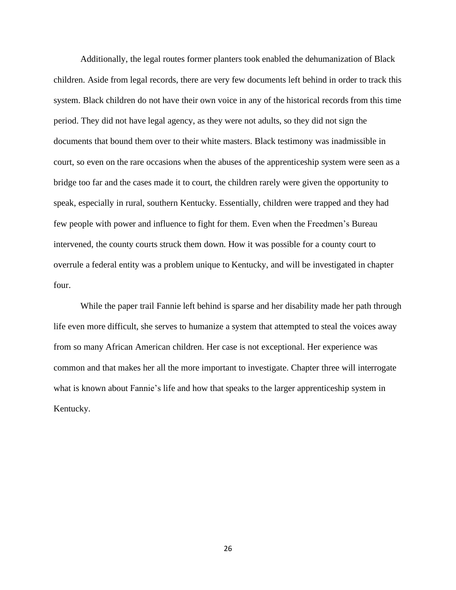Additionally, the legal routes former planters took enabled the dehumanization of Black children. Aside from legal records, there are very few documents left behind in order to track this system. Black children do not have their own voice in any of the historical records from this time period. They did not have legal agency, as they were not adults, so they did not sign the documents that bound them over to their white masters. Black testimony was inadmissible in court, so even on the rare occasions when the abuses of the apprenticeship system were seen as a bridge too far and the cases made it to court, the children rarely were given the opportunity to speak, especially in rural, southern Kentucky. Essentially, children were trapped and they had few people with power and influence to fight for them. Even when the Freedmen's Bureau intervened, the county courts struck them down. How it was possible for a county court to overrule a federal entity was a problem unique to Kentucky, and will be investigated in chapter four.

While the paper trail Fannie left behind is sparse and her disability made her path through life even more difficult, she serves to humanize a system that attempted to steal the voices away from so many African American children. Her case is not exceptional. Her experience was common and that makes her all the more important to investigate. Chapter three will interrogate what is known about Fannie's life and how that speaks to the larger apprenticeship system in Kentucky.

26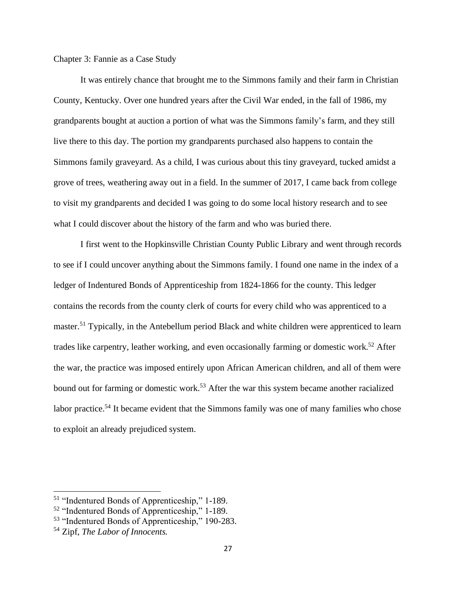Chapter 3: Fannie as a Case Study

It was entirely chance that brought me to the Simmons family and their farm in Christian County, Kentucky. Over one hundred years after the Civil War ended, in the fall of 1986, my grandparents bought at auction a portion of what was the Simmons family's farm, and they still live there to this day. The portion my grandparents purchased also happens to contain the Simmons family graveyard. As a child, I was curious about this tiny graveyard, tucked amidst a grove of trees, weathering away out in a field. In the summer of 2017, I came back from college to visit my grandparents and decided I was going to do some local history research and to see what I could discover about the history of the farm and who was buried there.

I first went to the Hopkinsville Christian County Public Library and went through records to see if I could uncover anything about the Simmons family. I found one name in the index of a ledger of Indentured Bonds of Apprenticeship from 1824-1866 for the county. This ledger contains the records from the county clerk of courts for every child who was apprenticed to a master.<sup>51</sup> Typically, in the Antebellum period Black and white children were apprenticed to learn trades like carpentry, leather working, and even occasionally farming or domestic work.<sup>52</sup> After the war, the practice was imposed entirely upon African American children, and all of them were bound out for farming or domestic work.<sup>53</sup> After the war this system became another racialized labor practice.<sup>54</sup> It became evident that the Simmons family was one of many families who chose to exploit an already prejudiced system.

<sup>51</sup> "Indentured Bonds of Apprenticeship," 1-189.

<sup>52</sup> "Indentured Bonds of Apprenticeship," 1-189.

<sup>53</sup> "Indentured Bonds of Apprenticeship," 190-283.

<sup>54</sup> Zipf, *The Labor of Innocents.*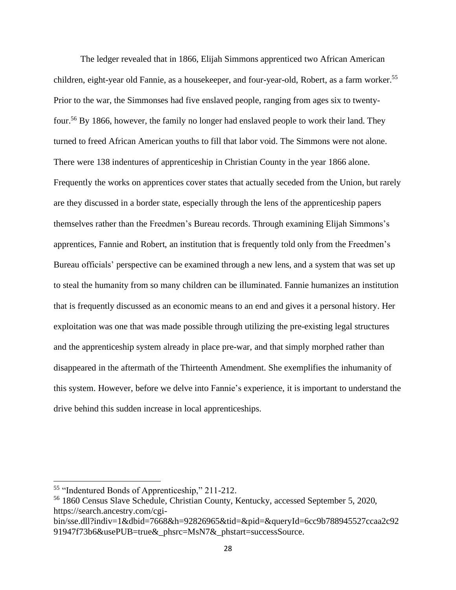The ledger revealed that in 1866, Elijah Simmons apprenticed two African American children, eight-year old Fannie, as a housekeeper, and four-year-old, Robert, as a farm worker.<sup>55</sup> Prior to the war, the Simmonses had five enslaved people, ranging from ages six to twentyfour.<sup>56</sup> By 1866, however, the family no longer had enslaved people to work their land. They turned to freed African American youths to fill that labor void. The Simmons were not alone. There were 138 indentures of apprenticeship in Christian County in the year 1866 alone. Frequently the works on apprentices cover states that actually seceded from the Union, but rarely are they discussed in a border state, especially through the lens of the apprenticeship papers themselves rather than the Freedmen's Bureau records. Through examining Elijah Simmons's apprentices, Fannie and Robert, an institution that is frequently told only from the Freedmen's Bureau officials' perspective can be examined through a new lens, and a system that was set up to steal the humanity from so many children can be illuminated. Fannie humanizes an institution that is frequently discussed as an economic means to an end and gives it a personal history. Her exploitation was one that was made possible through utilizing the pre-existing legal structures and the apprenticeship system already in place pre-war, and that simply morphed rather than disappeared in the aftermath of the Thirteenth Amendment. She exemplifies the inhumanity of this system. However, before we delve into Fannie's experience, it is important to understand the drive behind this sudden increase in local apprenticeships.

<sup>55</sup> "Indentured Bonds of Apprenticeship," 211-212.

<sup>56</sup> 1860 Census Slave Schedule, Christian County, Kentucky, accessed September 5, 2020, https://search.ancestry.com/cgi-

bin/sse.dll?indiv=1&dbid=7668&h=92826965&tid=&pid=&queryId=6cc9b788945527ccaa2c92 91947f73b6&usePUB=true&\_phsrc=MsN7&\_phstart=successSource.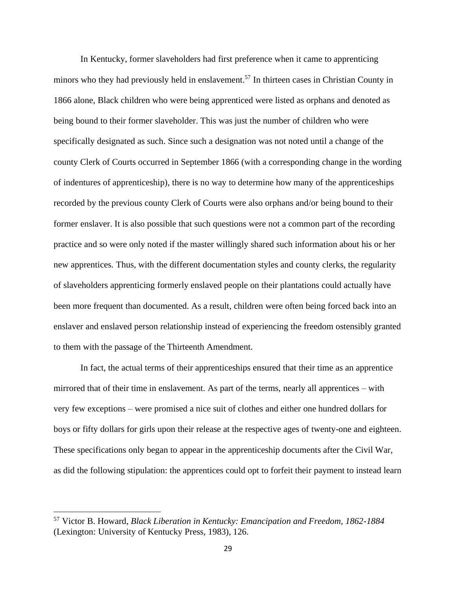In Kentucky, former slaveholders had first preference when it came to apprenticing minors who they had previously held in enslavement.<sup>57</sup> In thirteen cases in Christian County in 1866 alone, Black children who were being apprenticed were listed as orphans and denoted as being bound to their former slaveholder. This was just the number of children who were specifically designated as such. Since such a designation was not noted until a change of the county Clerk of Courts occurred in September 1866 (with a corresponding change in the wording of indentures of apprenticeship), there is no way to determine how many of the apprenticeships recorded by the previous county Clerk of Courts were also orphans and/or being bound to their former enslaver. It is also possible that such questions were not a common part of the recording practice and so were only noted if the master willingly shared such information about his or her new apprentices. Thus, with the different documentation styles and county clerks, the regularity of slaveholders apprenticing formerly enslaved people on their plantations could actually have been more frequent than documented. As a result, children were often being forced back into an enslaver and enslaved person relationship instead of experiencing the freedom ostensibly granted to them with the passage of the Thirteenth Amendment.

In fact, the actual terms of their apprenticeships ensured that their time as an apprentice mirrored that of their time in enslavement. As part of the terms, nearly all apprentices – with very few exceptions – were promised a nice suit of clothes and either one hundred dollars for boys or fifty dollars for girls upon their release at the respective ages of twenty-one and eighteen. These specifications only began to appear in the apprenticeship documents after the Civil War, as did the following stipulation: the apprentices could opt to forfeit their payment to instead learn

<sup>57</sup> Victor B. Howard, *Black Liberation in Kentucky: Emancipation and Freedom, 1862-1884* (Lexington: University of Kentucky Press, 1983), 126.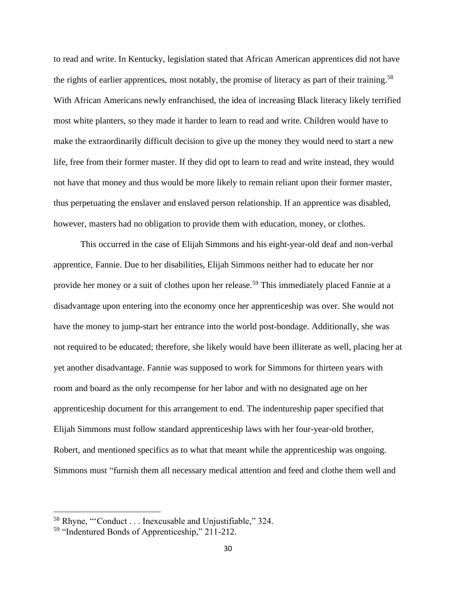to read and write. In Kentucky, legislation stated that African American apprentices did not have the rights of earlier apprentices, most notably, the promise of literacy as part of their training.<sup>58</sup> With African Americans newly enfranchised, the idea of increasing Black literacy likely terrified most white planters, so they made it harder to learn to read and write. Children would have to make the extraordinarily difficult decision to give up the money they would need to start a new life, free from their former master. If they did opt to learn to read and write instead, they would not have that money and thus would be more likely to remain reliant upon their former master, thus perpetuating the enslaver and enslaved person relationship. If an apprentice was disabled, however, masters had no obligation to provide them with education, money, or clothes.

This occurred in the case of Elijah Simmons and his eight-year-old deaf and non-verbal apprentice, Fannie. Due to her disabilities, Elijah Simmons neither had to educate her nor provide her money or a suit of clothes upon her release.<sup>59</sup> This immediately placed Fannie at a disadvantage upon entering into the economy once her apprenticeship was over. She would not have the money to jump-start her entrance into the world post-bondage. Additionally, she was not required to be educated; therefore, she likely would have been illiterate as well, placing her at yet another disadvantage. Fannie was supposed to work for Simmons for thirteen years with room and board as the only recompense for her labor and with no designated age on her apprenticeship document for this arrangement to end. The indentureship paper specified that Elijah Simmons must follow standard apprenticeship laws with her four-year-old brother, Robert, and mentioned specifics as to what that meant while the apprenticeship was ongoing. Simmons must "furnish them all necessary medical attention and feed and clothe them well and

<sup>58</sup> Rhyne, "'Conduct . . . Inexcusable and Unjustifiable*,*" 324.

<sup>59</sup> "Indentured Bonds of Apprenticeship," 211-212.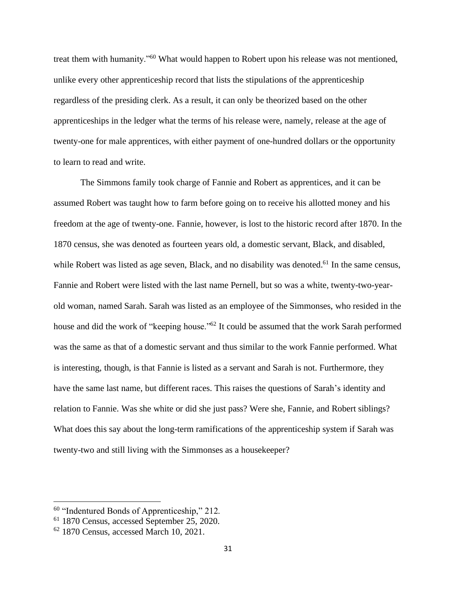treat them with humanity."<sup>60</sup> What would happen to Robert upon his release was not mentioned, unlike every other apprenticeship record that lists the stipulations of the apprenticeship regardless of the presiding clerk. As a result, it can only be theorized based on the other apprenticeships in the ledger what the terms of his release were, namely, release at the age of twenty-one for male apprentices, with either payment of one-hundred dollars or the opportunity to learn to read and write.

The Simmons family took charge of Fannie and Robert as apprentices, and it can be assumed Robert was taught how to farm before going on to receive his allotted money and his freedom at the age of twenty-one. Fannie, however, is lost to the historic record after 1870. In the 1870 census, she was denoted as fourteen years old, a domestic servant, Black, and disabled, while Robert was listed as age seven, Black, and no disability was denoted.<sup>61</sup> In the same census, Fannie and Robert were listed with the last name Pernell, but so was a white, twenty-two-yearold woman, named Sarah. Sarah was listed as an employee of the Simmonses, who resided in the house and did the work of "keeping house."<sup>62</sup> It could be assumed that the work Sarah performed was the same as that of a domestic servant and thus similar to the work Fannie performed. What is interesting, though, is that Fannie is listed as a servant and Sarah is not. Furthermore, they have the same last name, but different races. This raises the questions of Sarah's identity and relation to Fannie. Was she white or did she just pass? Were she, Fannie, and Robert siblings? What does this say about the long-term ramifications of the apprenticeship system if Sarah was twenty-two and still living with the Simmonses as a housekeeper?

<sup>&</sup>lt;sup>60</sup> "Indentured Bonds of Apprenticeship," 212.

<sup>61</sup> 1870 Census, accessed September 25, 2020.

 $62$  1870 Census, accessed March 10, 2021.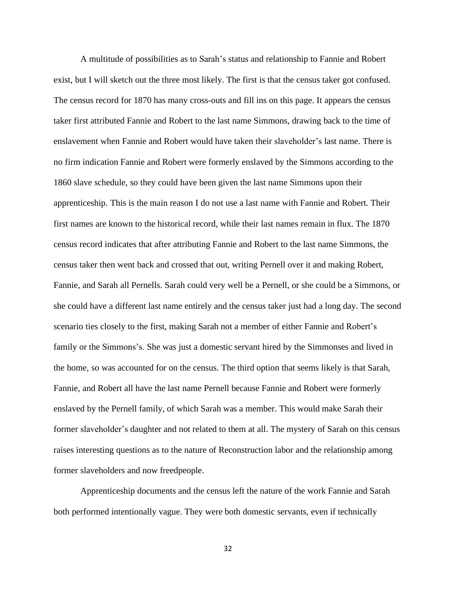A multitude of possibilities as to Sarah's status and relationship to Fannie and Robert exist, but I will sketch out the three most likely. The first is that the census taker got confused. The census record for 1870 has many cross-outs and fill ins on this page. It appears the census taker first attributed Fannie and Robert to the last name Simmons, drawing back to the time of enslavement when Fannie and Robert would have taken their slaveholder's last name. There is no firm indication Fannie and Robert were formerly enslaved by the Simmons according to the 1860 slave schedule, so they could have been given the last name Simmons upon their apprenticeship. This is the main reason I do not use a last name with Fannie and Robert. Their first names are known to the historical record, while their last names remain in flux. The 1870 census record indicates that after attributing Fannie and Robert to the last name Simmons, the census taker then went back and crossed that out, writing Pernell over it and making Robert, Fannie, and Sarah all Pernells. Sarah could very well be a Pernell, or she could be a Simmons, or she could have a different last name entirely and the census taker just had a long day. The second scenario ties closely to the first, making Sarah not a member of either Fannie and Robert's family or the Simmons's. She was just a domestic servant hired by the Simmonses and lived in the home, so was accounted for on the census. The third option that seems likely is that Sarah, Fannie, and Robert all have the last name Pernell because Fannie and Robert were formerly enslaved by the Pernell family, of which Sarah was a member. This would make Sarah their former slaveholder's daughter and not related to them at all. The mystery of Sarah on this census raises interesting questions as to the nature of Reconstruction labor and the relationship among former slaveholders and now freedpeople.

Apprenticeship documents and the census left the nature of the work Fannie and Sarah both performed intentionally vague. They were both domestic servants, even if technically

32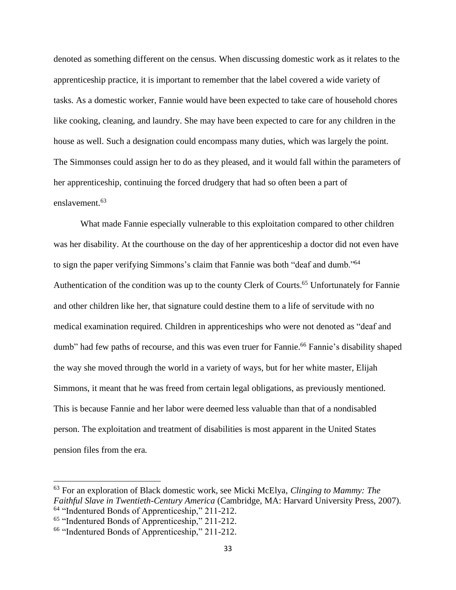denoted as something different on the census. When discussing domestic work as it relates to the apprenticeship practice, it is important to remember that the label covered a wide variety of tasks. As a domestic worker, Fannie would have been expected to take care of household chores like cooking, cleaning, and laundry. She may have been expected to care for any children in the house as well. Such a designation could encompass many duties, which was largely the point. The Simmonses could assign her to do as they pleased, and it would fall within the parameters of her apprenticeship, continuing the forced drudgery that had so often been a part of enslavement.<sup>63</sup>

What made Fannie especially vulnerable to this exploitation compared to other children was her disability. At the courthouse on the day of her apprenticeship a doctor did not even have to sign the paper verifying Simmons's claim that Fannie was both "deaf and dumb."<sup>64</sup> Authentication of the condition was up to the county Clerk of Courts.<sup>65</sup> Unfortunately for Fannie and other children like her, that signature could destine them to a life of servitude with no medical examination required. Children in apprenticeships who were not denoted as "deaf and dumb" had few paths of recourse, and this was even truer for Fannie.<sup>66</sup> Fannie's disability shaped the way she moved through the world in a variety of ways, but for her white master, Elijah Simmons, it meant that he was freed from certain legal obligations, as previously mentioned. This is because Fannie and her labor were deemed less valuable than that of a nondisabled person. The exploitation and treatment of disabilities is most apparent in the United States pension files from the era.

<sup>63</sup> For an exploration of Black domestic work, see Micki McElya, *Clinging to Mammy: The Faithful Slave in Twentieth-Century America* (Cambridge, MA: Harvard University Press, 2007). <sup>64</sup> "Indentured Bonds of Apprenticeship," 211-212.

<sup>65</sup> "Indentured Bonds of Apprenticeship," 211-212.

<sup>66</sup> "Indentured Bonds of Apprenticeship," 211-212.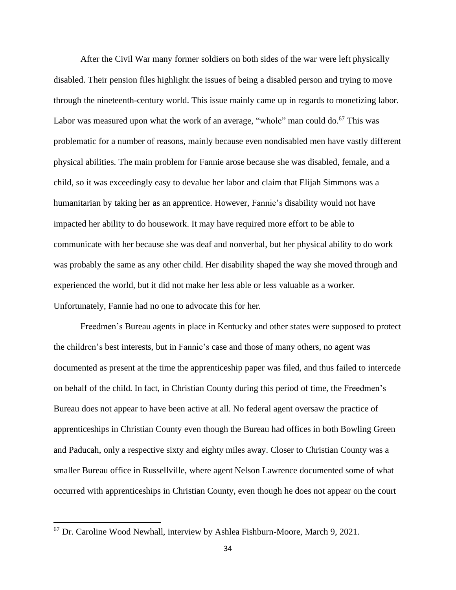After the Civil War many former soldiers on both sides of the war were left physically disabled. Their pension files highlight the issues of being a disabled person and trying to move through the nineteenth-century world. This issue mainly came up in regards to monetizing labor. Labor was measured upon what the work of an average, "whole" man could  $\delta$ .<sup>67</sup> This was problematic for a number of reasons, mainly because even nondisabled men have vastly different physical abilities. The main problem for Fannie arose because she was disabled, female, and a child, so it was exceedingly easy to devalue her labor and claim that Elijah Simmons was a humanitarian by taking her as an apprentice. However, Fannie's disability would not have impacted her ability to do housework. It may have required more effort to be able to communicate with her because she was deaf and nonverbal, but her physical ability to do work was probably the same as any other child. Her disability shaped the way she moved through and experienced the world, but it did not make her less able or less valuable as a worker. Unfortunately, Fannie had no one to advocate this for her.

Freedmen's Bureau agents in place in Kentucky and other states were supposed to protect the children's best interests, but in Fannie's case and those of many others, no agent was documented as present at the time the apprenticeship paper was filed, and thus failed to intercede on behalf of the child. In fact, in Christian County during this period of time, the Freedmen's Bureau does not appear to have been active at all. No federal agent oversaw the practice of apprenticeships in Christian County even though the Bureau had offices in both Bowling Green and Paducah, only a respective sixty and eighty miles away. Closer to Christian County was a smaller Bureau office in Russellville, where agent Nelson Lawrence documented some of what occurred with apprenticeships in Christian County, even though he does not appear on the court

<sup>&</sup>lt;sup>67</sup> Dr. Caroline Wood Newhall, interview by Ashlea Fishburn-Moore, March 9, 2021.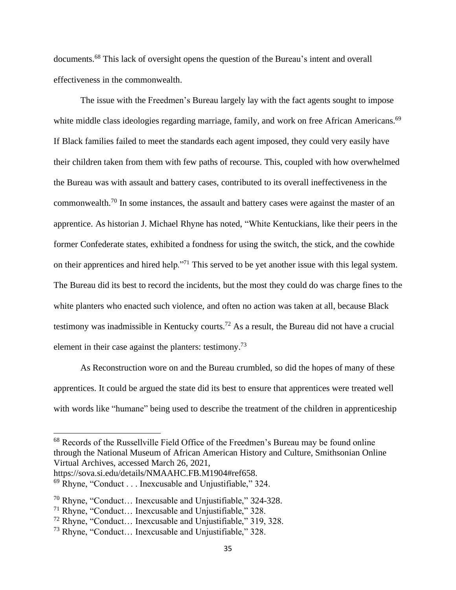documents.<sup>68</sup> This lack of oversight opens the question of the Bureau's intent and overall effectiveness in the commonwealth.

The issue with the Freedmen's Bureau largely lay with the fact agents sought to impose white middle class ideologies regarding marriage, family, and work on free African Americans.<sup>69</sup> If Black families failed to meet the standards each agent imposed, they could very easily have their children taken from them with few paths of recourse. This, coupled with how overwhelmed the Bureau was with assault and battery cases, contributed to its overall ineffectiveness in the commonwealth.<sup>70</sup> In some instances, the assault and battery cases were against the master of an apprentice. As historian J. Michael Rhyne has noted, "White Kentuckians, like their peers in the former Confederate states, exhibited a fondness for using the switch, the stick, and the cowhide on their apprentices and hired help."<sup>71</sup> This served to be yet another issue with this legal system. The Bureau did its best to record the incidents, but the most they could do was charge fines to the white planters who enacted such violence, and often no action was taken at all, because Black testimony was inadmissible in Kentucky courts.<sup>72</sup> As a result, the Bureau did not have a crucial element in their case against the planters: testimony.<sup>73</sup>

As Reconstruction wore on and the Bureau crumbled, so did the hopes of many of these apprentices. It could be argued the state did its best to ensure that apprentices were treated well with words like "humane" being used to describe the treatment of the children in apprenticeship

<sup>68</sup> Records of the Russellville Field Office of the Freedmen's Bureau may be found online through the National Museum of African American History and Culture, Smithsonian Online Virtual Archives, accessed March 26, 2021,

https://sova.si.edu/details/NMAAHC.FB.M1904#ref658.

 $69$  Rhyne, "Conduct . . . Inexcusable and Unjustifiable," 324.

<sup>70</sup> Rhyne, "Conduct… Inexcusable and Unjustifiable," 324-328.

<sup>71</sup> Rhyne, "Conduct… Inexcusable and Unjustifiable," 328.

<sup>72</sup> Rhyne, "Conduct… Inexcusable and Unjustifiable," 319, 328.

<sup>73</sup> Rhyne, "Conduct… Inexcusable and Unjustifiable," 328.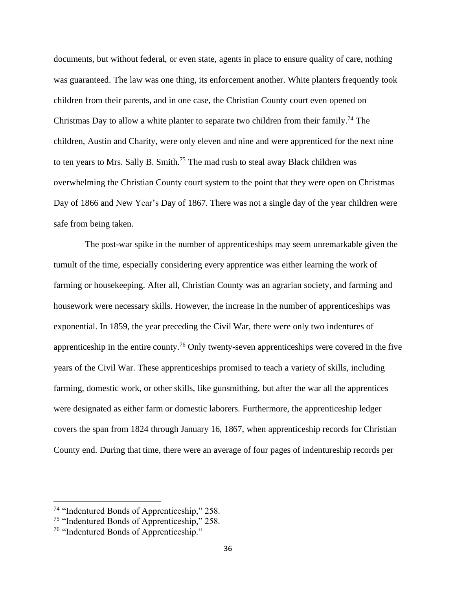documents, but without federal, or even state, agents in place to ensure quality of care, nothing was guaranteed. The law was one thing, its enforcement another. White planters frequently took children from their parents, and in one case, the Christian County court even opened on Christmas Day to allow a white planter to separate two children from their family.<sup>74</sup> The children, Austin and Charity, were only eleven and nine and were apprenticed for the next nine to ten years to Mrs. Sally B. Smith.<sup>75</sup> The mad rush to steal away Black children was overwhelming the Christian County court system to the point that they were open on Christmas Day of 1866 and New Year's Day of 1867. There was not a single day of the year children were safe from being taken.

 The post-war spike in the number of apprenticeships may seem unremarkable given the tumult of the time, especially considering every apprentice was either learning the work of farming or housekeeping. After all, Christian County was an agrarian society, and farming and housework were necessary skills. However, the increase in the number of apprenticeships was exponential. In 1859, the year preceding the Civil War, there were only two indentures of apprenticeship in the entire county.<sup>76</sup> Only twenty-seven apprenticeships were covered in the five years of the Civil War. These apprenticeships promised to teach a variety of skills, including farming, domestic work, or other skills, like gunsmithing, but after the war all the apprentices were designated as either farm or domestic laborers. Furthermore, the apprenticeship ledger covers the span from 1824 through January 16, 1867, when apprenticeship records for Christian County end. During that time, there were an average of four pages of indentureship records per

<sup>74</sup> "Indentured Bonds of Apprenticeship," 258.

<sup>&</sup>lt;sup>75</sup> "Indentured Bonds of Apprenticeship," 258.

<sup>76</sup> "Indentured Bonds of Apprenticeship."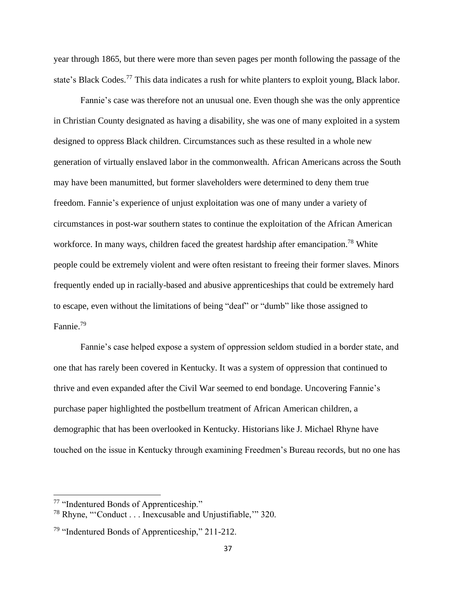year through 1865, but there were more than seven pages per month following the passage of the state's Black Codes.<sup>77</sup> This data indicates a rush for white planters to exploit young, Black labor.

 Fannie's case was therefore not an unusual one. Even though she was the only apprentice in Christian County designated as having a disability, she was one of many exploited in a system designed to oppress Black children. Circumstances such as these resulted in a whole new generation of virtually enslaved labor in the commonwealth. African Americans across the South may have been manumitted, but former slaveholders were determined to deny them true freedom. Fannie's experience of unjust exploitation was one of many under a variety of circumstances in post-war southern states to continue the exploitation of the African American workforce. In many ways, children faced the greatest hardship after emancipation.<sup>78</sup> White people could be extremely violent and were often resistant to freeing their former slaves. Minors frequently ended up in racially-based and abusive apprenticeships that could be extremely hard to escape, even without the limitations of being "deaf" or "dumb" like those assigned to Fannie.<sup>79</sup>

Fannie's case helped expose a system of oppression seldom studied in a border state, and one that has rarely been covered in Kentucky. It was a system of oppression that continued to thrive and even expanded after the Civil War seemed to end bondage. Uncovering Fannie's purchase paper highlighted the postbellum treatment of African American children, a demographic that has been overlooked in Kentucky. Historians like J. Michael Rhyne have touched on the issue in Kentucky through examining Freedmen's Bureau records, but no one has

<sup>77</sup> "Indentured Bonds of Apprenticeship."

<sup>78</sup> Rhyne, "'Conduct . . . Inexcusable and Unjustifiable,'" 320.

<sup>&</sup>lt;sup>79</sup> "Indentured Bonds of Apprenticeship," 211-212.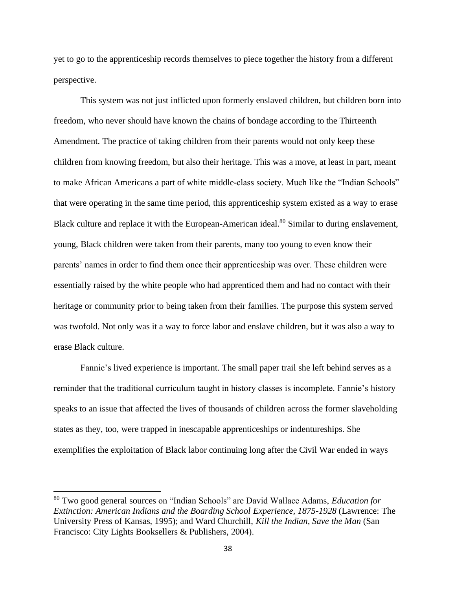yet to go to the apprenticeship records themselves to piece together the history from a different perspective.

This system was not just inflicted upon formerly enslaved children, but children born into freedom, who never should have known the chains of bondage according to the Thirteenth Amendment. The practice of taking children from their parents would not only keep these children from knowing freedom, but also their heritage. This was a move, at least in part, meant to make African Americans a part of white middle-class society. Much like the "Indian Schools" that were operating in the same time period, this apprenticeship system existed as a way to erase Black culture and replace it with the European-American ideal.<sup>80</sup> Similar to during enslavement, young, Black children were taken from their parents, many too young to even know their parents' names in order to find them once their apprenticeship was over. These children were essentially raised by the white people who had apprenticed them and had no contact with their heritage or community prior to being taken from their families. The purpose this system served was twofold. Not only was it a way to force labor and enslave children, but it was also a way to erase Black culture.

Fannie's lived experience is important. The small paper trail she left behind serves as a reminder that the traditional curriculum taught in history classes is incomplete. Fannie's history speaks to an issue that affected the lives of thousands of children across the former slaveholding states as they, too, were trapped in inescapable apprenticeships or indentureships. She exemplifies the exploitation of Black labor continuing long after the Civil War ended in ways

<sup>80</sup> Two good general sources on "Indian Schools" are David Wallace Adams, *Education for Extinction: American Indians and the Boarding School Experience, 1875-1928* (Lawrence: The University Press of Kansas, 1995); and Ward Churchill, *Kill the Indian, Save the Man* (San Francisco: City Lights Booksellers & Publishers, 2004).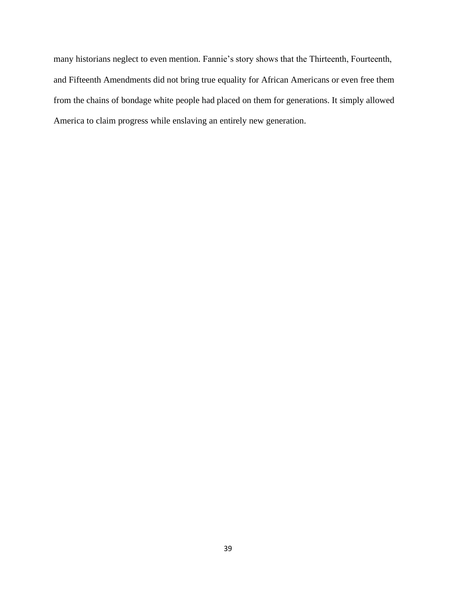many historians neglect to even mention. Fannie's story shows that the Thirteenth, Fourteenth, and Fifteenth Amendments did not bring true equality for African Americans or even free them from the chains of bondage white people had placed on them for generations. It simply allowed America to claim progress while enslaving an entirely new generation.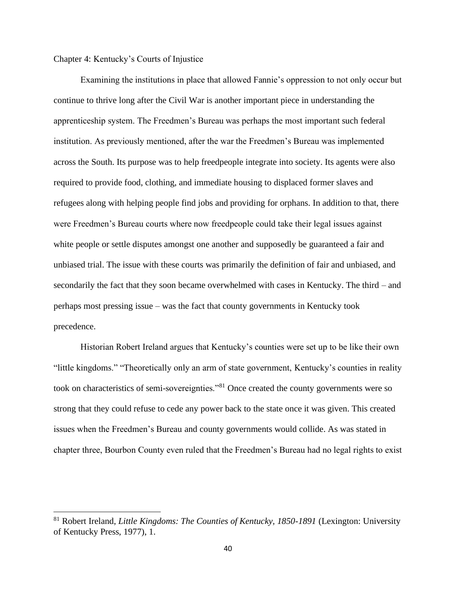## Chapter 4: Kentucky's Courts of Injustice

Examining the institutions in place that allowed Fannie's oppression to not only occur but continue to thrive long after the Civil War is another important piece in understanding the apprenticeship system. The Freedmen's Bureau was perhaps the most important such federal institution. As previously mentioned, after the war the Freedmen's Bureau was implemented across the South. Its purpose was to help freedpeople integrate into society. Its agents were also required to provide food, clothing, and immediate housing to displaced former slaves and refugees along with helping people find jobs and providing for orphans. In addition to that, there were Freedmen's Bureau courts where now freedpeople could take their legal issues against white people or settle disputes amongst one another and supposedly be guaranteed a fair and unbiased trial. The issue with these courts was primarily the definition of fair and unbiased, and secondarily the fact that they soon became overwhelmed with cases in Kentucky. The third – and perhaps most pressing issue – was the fact that county governments in Kentucky took precedence.

Historian Robert Ireland argues that Kentucky's counties were set up to be like their own "little kingdoms." "Theoretically only an arm of state government, Kentucky's counties in reality took on characteristics of semi-sovereignties."<sup>81</sup> Once created the county governments were so strong that they could refuse to cede any power back to the state once it was given. This created issues when the Freedmen's Bureau and county governments would collide. As was stated in chapter three, Bourbon County even ruled that the Freedmen's Bureau had no legal rights to exist

<sup>81</sup> Robert Ireland, *Little Kingdoms: The Counties of Kentucky, 1850-1891* (Lexington: University of Kentucky Press, 1977), 1.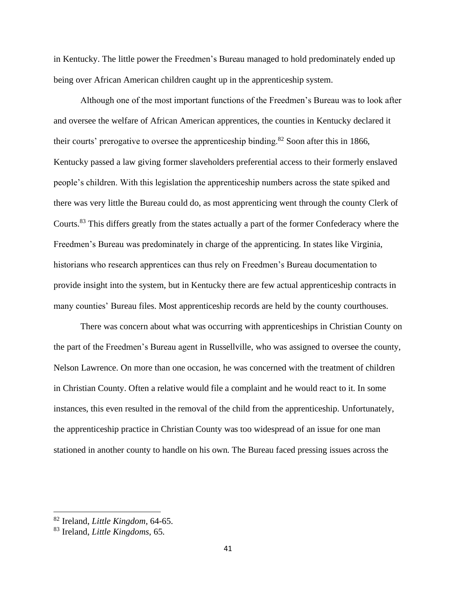in Kentucky. The little power the Freedmen's Bureau managed to hold predominately ended up being over African American children caught up in the apprenticeship system.

Although one of the most important functions of the Freedmen's Bureau was to look after and oversee the welfare of African American apprentices, the counties in Kentucky declared it their courts' prerogative to oversee the apprenticeship binding.<sup>82</sup> Soon after this in 1866, Kentucky passed a law giving former slaveholders preferential access to their formerly enslaved people's children. With this legislation the apprenticeship numbers across the state spiked and there was very little the Bureau could do, as most apprenticing went through the county Clerk of Courts.<sup>83</sup> This differs greatly from the states actually a part of the former Confederacy where the Freedmen's Bureau was predominately in charge of the apprenticing. In states like Virginia, historians who research apprentices can thus rely on Freedmen's Bureau documentation to provide insight into the system, but in Kentucky there are few actual apprenticeship contracts in many counties' Bureau files. Most apprenticeship records are held by the county courthouses.

There was concern about what was occurring with apprenticeships in Christian County on the part of the Freedmen's Bureau agent in Russellville, who was assigned to oversee the county, Nelson Lawrence. On more than one occasion, he was concerned with the treatment of children in Christian County. Often a relative would file a complaint and he would react to it. In some instances, this even resulted in the removal of the child from the apprenticeship. Unfortunately, the apprenticeship practice in Christian County was too widespread of an issue for one man stationed in another county to handle on his own. The Bureau faced pressing issues across the

<sup>82</sup> Ireland, *Little Kingdom*, 64-65.

<sup>83</sup> Ireland, *Little Kingdoms*, 65.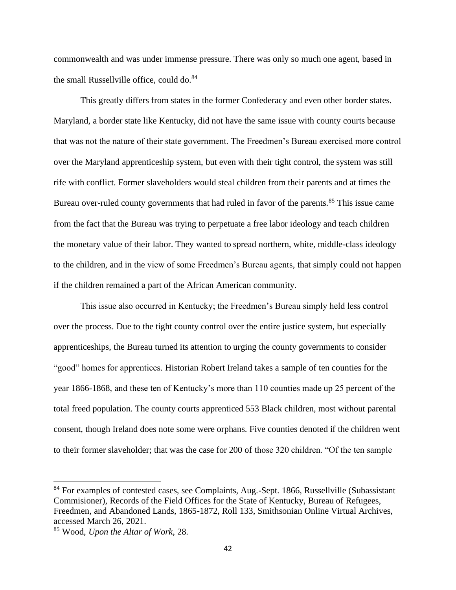commonwealth and was under immense pressure. There was only so much one agent, based in the small Russellville office, could do. $84$ 

This greatly differs from states in the former Confederacy and even other border states. Maryland, a border state like Kentucky, did not have the same issue with county courts because that was not the nature of their state government. The Freedmen's Bureau exercised more control over the Maryland apprenticeship system, but even with their tight control, the system was still rife with conflict. Former slaveholders would steal children from their parents and at times the Bureau over-ruled county governments that had ruled in favor of the parents.<sup>85</sup> This issue came from the fact that the Bureau was trying to perpetuate a free labor ideology and teach children the monetary value of their labor. They wanted to spread northern, white, middle-class ideology to the children, and in the view of some Freedmen's Bureau agents, that simply could not happen if the children remained a part of the African American community.

This issue also occurred in Kentucky; the Freedmen's Bureau simply held less control over the process. Due to the tight county control over the entire justice system, but especially apprenticeships, the Bureau turned its attention to urging the county governments to consider "good" homes for apprentices. Historian Robert Ireland takes a sample of ten counties for the year 1866-1868, and these ten of Kentucky's more than 110 counties made up 25 percent of the total freed population. The county courts apprenticed 553 Black children, most without parental consent, though Ireland does note some were orphans. Five counties denoted if the children went to their former slaveholder; that was the case for 200 of those 320 children. "Of the ten sample

<sup>&</sup>lt;sup>84</sup> For examples of contested cases, see Complaints, Aug.-Sept. 1866, Russellville (Subassistant) Commisioner), Records of the Field Offices for the State of Kentucky, Bureau of Refugees, Freedmen, and Abandoned Lands, 1865-1872, Roll 133, Smithsonian Online Virtual Archives, accessed March 26, 2021.

<sup>85</sup> Wood, *Upon the Altar of Work*, 28.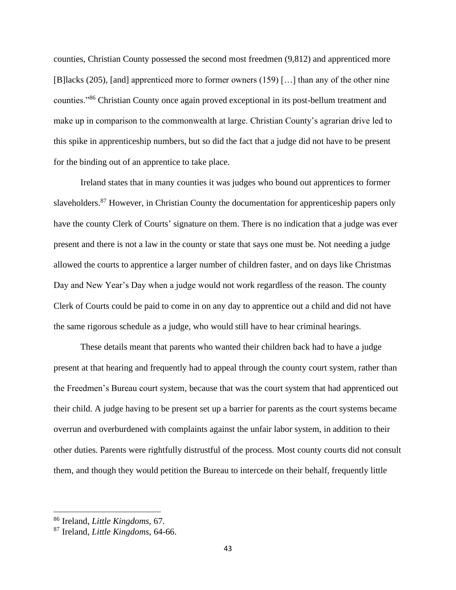counties, Christian County possessed the second most freedmen (9,812) and apprenticed more [B]lacks (205), [and] apprenticed more to former owners (159) […] than any of the other nine counties."<sup>86</sup> Christian County once again proved exceptional in its post-bellum treatment and make up in comparison to the commonwealth at large. Christian County's agrarian drive led to this spike in apprenticeship numbers, but so did the fact that a judge did not have to be present for the binding out of an apprentice to take place.

Ireland states that in many counties it was judges who bound out apprentices to former slaveholders.<sup>87</sup> However, in Christian County the documentation for apprenticeship papers only have the county Clerk of Courts' signature on them. There is no indication that a judge was ever present and there is not a law in the county or state that says one must be. Not needing a judge allowed the courts to apprentice a larger number of children faster, and on days like Christmas Day and New Year's Day when a judge would not work regardless of the reason. The county Clerk of Courts could be paid to come in on any day to apprentice out a child and did not have the same rigorous schedule as a judge, who would still have to hear criminal hearings.

These details meant that parents who wanted their children back had to have a judge present at that hearing and frequently had to appeal through the county court system, rather than the Freedmen's Bureau court system, because that was the court system that had apprenticed out their child. A judge having to be present set up a barrier for parents as the court systems became overrun and overburdened with complaints against the unfair labor system, in addition to their other duties. Parents were rightfully distrustful of the process. Most county courts did not consult them, and though they would petition the Bureau to intercede on their behalf, frequently little

<sup>86</sup> Ireland, *Little Kingdoms*, 67.

<sup>87</sup> Ireland, *Little Kingdoms*, 64-66.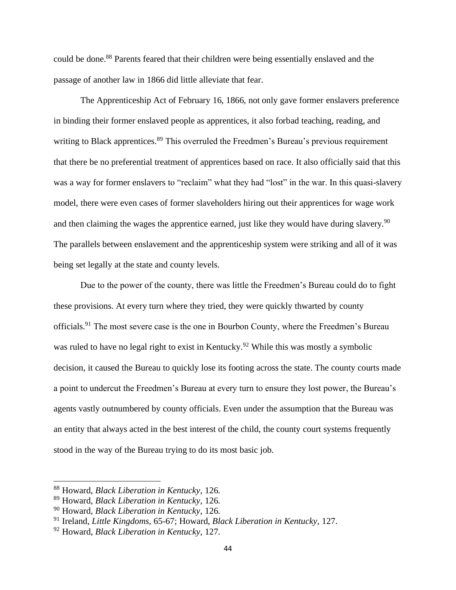could be done.<sup>88</sup> Parents feared that their children were being essentially enslaved and the passage of another law in 1866 did little alleviate that fear.

The Apprenticeship Act of February 16, 1866, not only gave former enslavers preference in binding their former enslaved people as apprentices, it also forbad teaching, reading, and writing to Black apprentices.<sup>89</sup> This overruled the Freedmen's Bureau's previous requirement that there be no preferential treatment of apprentices based on race. It also officially said that this was a way for former enslavers to "reclaim" what they had "lost" in the war. In this quasi-slavery model, there were even cases of former slaveholders hiring out their apprentices for wage work and then claiming the wages the apprentice earned, just like they would have during slavery.<sup>90</sup> The parallels between enslavement and the apprenticeship system were striking and all of it was being set legally at the state and county levels.

Due to the power of the county, there was little the Freedmen's Bureau could do to fight these provisions. At every turn where they tried, they were quickly thwarted by county officials.<sup>91</sup> The most severe case is the one in Bourbon County, where the Freedmen's Bureau was ruled to have no legal right to exist in Kentucky.<sup>92</sup> While this was mostly a symbolic decision, it caused the Bureau to quickly lose its footing across the state. The county courts made a point to undercut the Freedmen's Bureau at every turn to ensure they lost power, the Bureau's agents vastly outnumbered by county officials. Even under the assumption that the Bureau was an entity that always acted in the best interest of the child, the county court systems frequently stood in the way of the Bureau trying to do its most basic job.

<sup>88</sup> Howard, *Black Liberation in Kentucky*, 126.

<sup>89</sup> Howard, *Black Liberation in Kentucky*, 126.

<sup>90</sup> Howard, *Black Liberation in Kentucky*, 126.

<sup>91</sup> Ireland, *Little Kingdoms*, 65-67; Howard, *Black Liberation in Kentucky*, 127.

<sup>92</sup> Howard, *Black Liberation in Kentucky*, 127.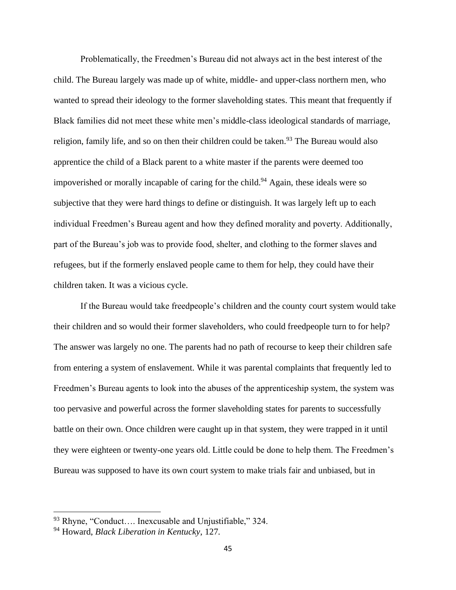Problematically, the Freedmen's Bureau did not always act in the best interest of the child. The Bureau largely was made up of white, middle- and upper-class northern men, who wanted to spread their ideology to the former slaveholding states. This meant that frequently if Black families did not meet these white men's middle-class ideological standards of marriage, religion, family life, and so on then their children could be taken.<sup>93</sup> The Bureau would also apprentice the child of a Black parent to a white master if the parents were deemed too impoverished or morally incapable of caring for the child.<sup>94</sup> Again, these ideals were so subjective that they were hard things to define or distinguish. It was largely left up to each individual Freedmen's Bureau agent and how they defined morality and poverty. Additionally, part of the Bureau's job was to provide food, shelter, and clothing to the former slaves and refugees, but if the formerly enslaved people came to them for help, they could have their children taken. It was a vicious cycle.

If the Bureau would take freedpeople's children and the county court system would take their children and so would their former slaveholders, who could freedpeople turn to for help? The answer was largely no one. The parents had no path of recourse to keep their children safe from entering a system of enslavement. While it was parental complaints that frequently led to Freedmen's Bureau agents to look into the abuses of the apprenticeship system, the system was too pervasive and powerful across the former slaveholding states for parents to successfully battle on their own. Once children were caught up in that system, they were trapped in it until they were eighteen or twenty-one years old. Little could be done to help them. The Freedmen's Bureau was supposed to have its own court system to make trials fair and unbiased, but in

<sup>93</sup> Rhyne, "Conduct…. Inexcusable and Unjustifiable," 324.

<sup>94</sup> Howard, *Black Liberation in Kentucky*, 127.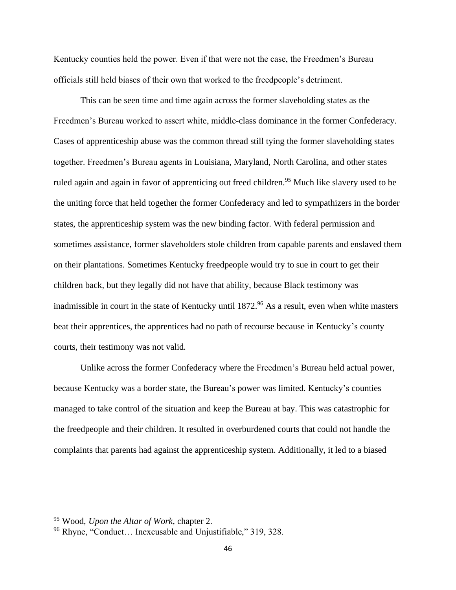Kentucky counties held the power. Even if that were not the case, the Freedmen's Bureau officials still held biases of their own that worked to the freedpeople's detriment.

This can be seen time and time again across the former slaveholding states as the Freedmen's Bureau worked to assert white, middle-class dominance in the former Confederacy. Cases of apprenticeship abuse was the common thread still tying the former slaveholding states together. Freedmen's Bureau agents in Louisiana, Maryland, North Carolina, and other states ruled again and again in favor of apprenticing out freed children.<sup>95</sup> Much like slavery used to be the uniting force that held together the former Confederacy and led to sympathizers in the border states, the apprenticeship system was the new binding factor. With federal permission and sometimes assistance, former slaveholders stole children from capable parents and enslaved them on their plantations. Sometimes Kentucky freedpeople would try to sue in court to get their children back, but they legally did not have that ability, because Black testimony was inadmissible in court in the state of Kentucky until 1872.<sup>96</sup> As a result, even when white masters beat their apprentices, the apprentices had no path of recourse because in Kentucky's county courts, their testimony was not valid.

Unlike across the former Confederacy where the Freedmen's Bureau held actual power, because Kentucky was a border state, the Bureau's power was limited. Kentucky's counties managed to take control of the situation and keep the Bureau at bay. This was catastrophic for the freedpeople and their children. It resulted in overburdened courts that could not handle the complaints that parents had against the apprenticeship system. Additionally, it led to a biased

<sup>95</sup> Wood, *Upon the Altar of Work*, chapter 2.

<sup>96</sup> Rhyne, "Conduct… Inexcusable and Unjustifiable," 319, 328.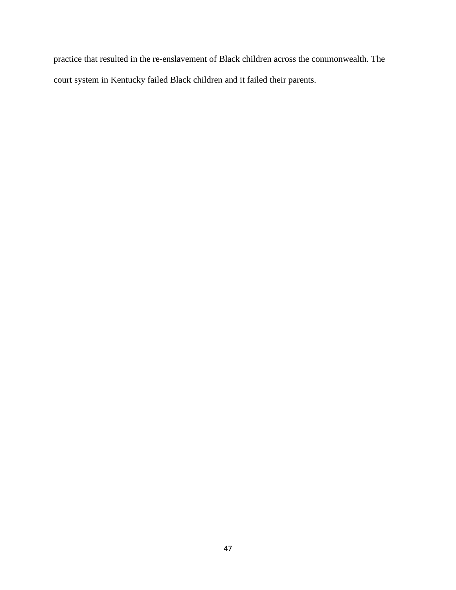practice that resulted in the re-enslavement of Black children across the commonwealth. The court system in Kentucky failed Black children and it failed their parents.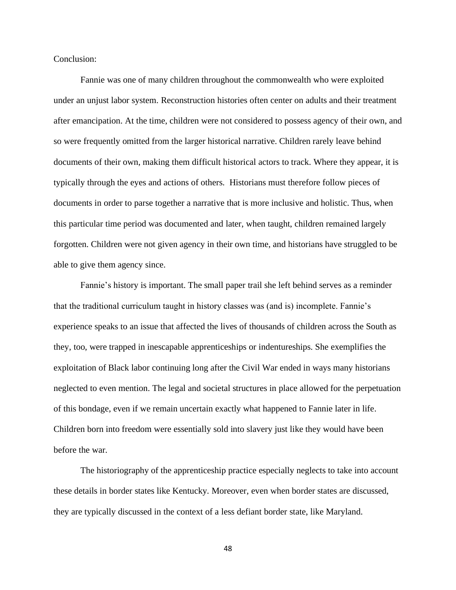Conclusion:

Fannie was one of many children throughout the commonwealth who were exploited under an unjust labor system. Reconstruction histories often center on adults and their treatment after emancipation. At the time, children were not considered to possess agency of their own, and so were frequently omitted from the larger historical narrative. Children rarely leave behind documents of their own, making them difficult historical actors to track. Where they appear, it is typically through the eyes and actions of others. Historians must therefore follow pieces of documents in order to parse together a narrative that is more inclusive and holistic. Thus, when this particular time period was documented and later, when taught, children remained largely forgotten. Children were not given agency in their own time, and historians have struggled to be able to give them agency since.

Fannie's history is important. The small paper trail she left behind serves as a reminder that the traditional curriculum taught in history classes was (and is) incomplete. Fannie's experience speaks to an issue that affected the lives of thousands of children across the South as they, too, were trapped in inescapable apprenticeships or indentureships. She exemplifies the exploitation of Black labor continuing long after the Civil War ended in ways many historians neglected to even mention. The legal and societal structures in place allowed for the perpetuation of this bondage, even if we remain uncertain exactly what happened to Fannie later in life. Children born into freedom were essentially sold into slavery just like they would have been before the war.

The historiography of the apprenticeship practice especially neglects to take into account these details in border states like Kentucky. Moreover, even when border states are discussed, they are typically discussed in the context of a less defiant border state, like Maryland.

48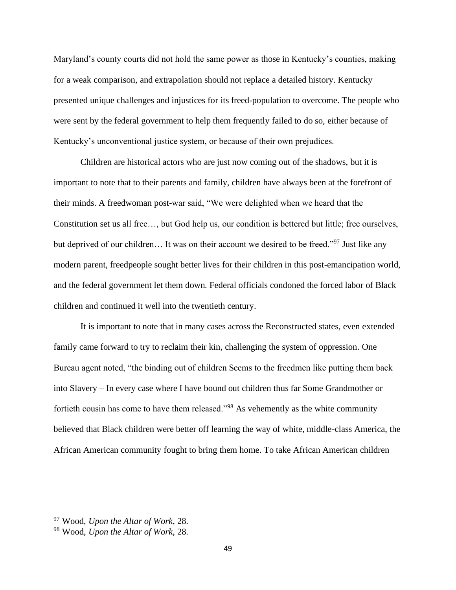Maryland's county courts did not hold the same power as those in Kentucky's counties, making for a weak comparison, and extrapolation should not replace a detailed history. Kentucky presented unique challenges and injustices for its freed-population to overcome. The people who were sent by the federal government to help them frequently failed to do so, either because of Kentucky's unconventional justice system, or because of their own prejudices.

Children are historical actors who are just now coming out of the shadows, but it is important to note that to their parents and family, children have always been at the forefront of their minds. A freedwoman post-war said, "We were delighted when we heard that the Constitution set us all free…, but God help us, our condition is bettered but little; free ourselves, but deprived of our children... It was on their account we desired to be freed."<sup>97</sup> Just like any modern parent, freedpeople sought better lives for their children in this post-emancipation world, and the federal government let them down. Federal officials condoned the forced labor of Black children and continued it well into the twentieth century.

It is important to note that in many cases across the Reconstructed states, even extended family came forward to try to reclaim their kin, challenging the system of oppression. One Bureau agent noted, "the binding out of children Seems to the freedmen like putting them back into Slavery – In every case where I have bound out children thus far Some Grandmother or fortieth cousin has come to have them released."<sup>98</sup> As vehemently as the white community believed that Black children were better off learning the way of white, middle-class America, the African American community fought to bring them home. To take African American children

<sup>97</sup> Wood, *Upon the Altar of Work*, 28.

<sup>98</sup> Wood, *Upon the Altar of Work*, 28.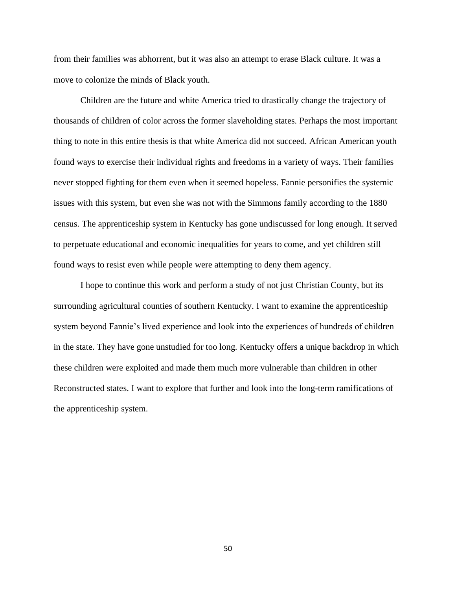from their families was abhorrent, but it was also an attempt to erase Black culture. It was a move to colonize the minds of Black youth.

Children are the future and white America tried to drastically change the trajectory of thousands of children of color across the former slaveholding states. Perhaps the most important thing to note in this entire thesis is that white America did not succeed. African American youth found ways to exercise their individual rights and freedoms in a variety of ways. Their families never stopped fighting for them even when it seemed hopeless. Fannie personifies the systemic issues with this system, but even she was not with the Simmons family according to the 1880 census. The apprenticeship system in Kentucky has gone undiscussed for long enough. It served to perpetuate educational and economic inequalities for years to come, and yet children still found ways to resist even while people were attempting to deny them agency.

I hope to continue this work and perform a study of not just Christian County, but its surrounding agricultural counties of southern Kentucky. I want to examine the apprenticeship system beyond Fannie's lived experience and look into the experiences of hundreds of children in the state. They have gone unstudied for too long. Kentucky offers a unique backdrop in which these children were exploited and made them much more vulnerable than children in other Reconstructed states. I want to explore that further and look into the long-term ramifications of the apprenticeship system.

50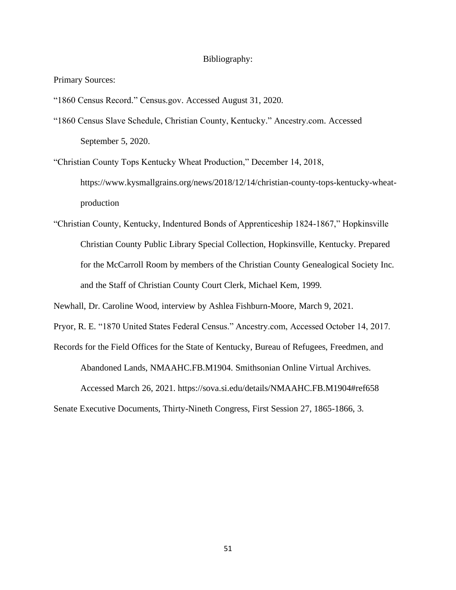#### Bibliography:

Primary Sources:

"1860 Census Record." Census.gov. Accessed August 31, 2020.

"1860 Census Slave Schedule, Christian County, Kentucky." Ancestry.com. Accessed September 5, 2020.

"Christian County Tops Kentucky Wheat Production," December 14, 2018,

[https://www.kysmallgrains.org/news/2018/12/14/christian-county-tops-kentucky-wheat](file:///C:/Users/leamo/Downloads/%09https:/www.kysmallgrains.org/news/2018/12/14/christian-county-tops-kentucky-wheat-%09production)[production](file:///C:/Users/leamo/Downloads/%09https:/www.kysmallgrains.org/news/2018/12/14/christian-county-tops-kentucky-wheat-%09production)

"Christian County, Kentucky, Indentured Bonds of Apprenticeship 1824-1867," Hopkinsville Christian County Public Library Special Collection, Hopkinsville, Kentucky. Prepared for the McCarroll Room by members of the Christian County Genealogical Society Inc. and the Staff of Christian County Court Clerk, Michael Kem, 1999.

Newhall, Dr. Caroline Wood, interview by Ashlea Fishburn-Moore, March 9, 2021.

Pryor, R. E. "1870 United States Federal Census." Ancestry.com, Accessed October 14, 2017.

Records for the Field Offices for the State of Kentucky, Bureau of Refugees, Freedmen, and

Abandoned Lands, NMAAHC.FB.M1904. Smithsonian Online Virtual Archives. Accessed March 26, 2021.<https://sova.si.edu/details/NMAAHC.FB.M1904#ref658>

Senate Executive Documents, Thirty-Nineth Congress, First Session 27, 1865-1866, 3.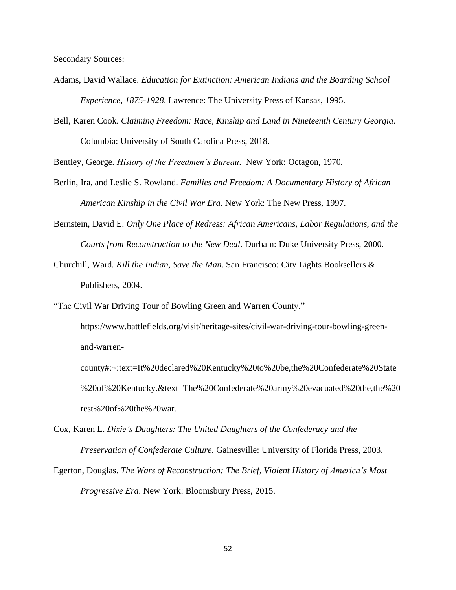Secondary Sources:

- Adams, David Wallace. *Education for Extinction: American Indians and the Boarding School Experience, 1875-1928*. Lawrence: The University Press of Kansas, 1995.
- Bell, Karen Cook. *Claiming Freedom: Race, Kinship and Land in Nineteenth Century Georgia*. Columbia: University of South Carolina Press, 2018.

Bentley, George. *History of the Freedmen's Bureau*. New York: Octagon, 1970.

- Berlin, Ira, and Leslie S. Rowland. *Families and Freedom: A Documentary History of African American Kinship in the Civil War Era.* New York: The New Press, 1997.
- Bernstein, David E. *Only One Place of Redress: African Americans, Labor Regulations, and the Courts from Reconstruction to the New Deal*. Durham: Duke University Press, 2000.
- Churchill, Ward. *Kill the Indian, Save the Man*. San Francisco: City Lights Booksellers & Publishers, 2004.

"The Civil War Driving Tour of Bowling Green and Warren County,"

[https://www.battlefields.org/visit/heritage-sites/civil-war-driving-tour-bowling-green](file:///C:/Users/leamo/Downloads/%09https:/www.battlefields.org/visit/heritage-sites/civil-war-driving-tour-bowling-green-%09and-warren-%09county%23:~:text=It%2520declared%2520Kentucky%2520to%2520be,the%2520Confederate%2520State%20%2520of%2520Kentucky.&text=The%2520Confederate%2520army%2520evacuated%2520the,the%2520%20rest%2520of%2520the%2520war.)[and-warren-](file:///C:/Users/leamo/Downloads/%09https:/www.battlefields.org/visit/heritage-sites/civil-war-driving-tour-bowling-green-%09and-warren-%09county%23:~:text=It%2520declared%2520Kentucky%2520to%2520be,the%2520Confederate%2520State%20%2520of%2520Kentucky.&text=The%2520Confederate%2520army%2520evacuated%2520the,the%2520%20rest%2520of%2520the%2520war.)

[county#:~:text=It%20declared%20Kentucky%20to%20be,the%20Confederate%20State](file:///C:/Users/leamo/Downloads/%09https:/www.battlefields.org/visit/heritage-sites/civil-war-driving-tour-bowling-green-%09and-warren-%09county%23:~:text=It%2520declared%2520Kentucky%2520to%2520be,the%2520Confederate%2520State%20%2520of%2520Kentucky.&text=The%2520Confederate%2520army%2520evacuated%2520the,the%2520%20rest%2520of%2520the%2520war.) [%20of%20Kentucky.&text=The%20Confederate%20army%20evacuated%20the,the%20](file:///C:/Users/leamo/Downloads/%09https:/www.battlefields.org/visit/heritage-sites/civil-war-driving-tour-bowling-green-%09and-warren-%09county%23:~:text=It%2520declared%2520Kentucky%2520to%2520be,the%2520Confederate%2520State%20%2520of%2520Kentucky.&text=The%2520Confederate%2520army%2520evacuated%2520the,the%2520%20rest%2520of%2520the%2520war.) [rest%20of%20the%20war.](file:///C:/Users/leamo/Downloads/%09https:/www.battlefields.org/visit/heritage-sites/civil-war-driving-tour-bowling-green-%09and-warren-%09county%23:~:text=It%2520declared%2520Kentucky%2520to%2520be,the%2520Confederate%2520State%20%2520of%2520Kentucky.&text=The%2520Confederate%2520army%2520evacuated%2520the,the%2520%20rest%2520of%2520the%2520war.)

- Cox, Karen L. *Dixie's Daughters: The United Daughters of the Confederacy and the Preservation of Confederate Culture*. Gainesville: University of Florida Press, 2003.
- Egerton, Douglas. *The Wars of Reconstruction: The Brief, Violent History of America's Most Progressive Era*. New York: Bloomsbury Press, 2015.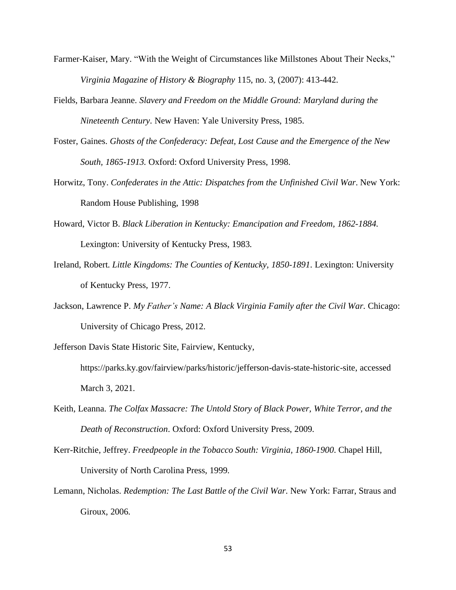- Farmer-Kaiser, Mary. "With the Weight of Circumstances like Millstones About Their Necks," *Virginia Magazine of History & Biography* 115, no. 3, (2007): 413-442.
- Fields, Barbara Jeanne. *Slavery and Freedom on the Middle Ground: Maryland during the Nineteenth Century*. New Haven: Yale University Press, 1985.
- Foster, Gaines. *Ghosts of the Confederacy: Defeat, Lost Cause and the Emergence of the New South, 1865-1913.* Oxford: Oxford University Press, 1998.
- Horwitz, Tony. *Confederates in the Attic: Dispatches from the Unfinished Civil War*. New York: Random House Publishing, 1998
- Howard, Victor B. *Black Liberation in Kentucky: Emancipation and Freedom, 1862-1884*. Lexington: University of Kentucky Press, 1983.
- Ireland, Robert. *Little Kingdoms: The Counties of Kentucky, 1850-1891*. Lexington: University of Kentucky Press, 1977.
- Jackson, Lawrence P. *My Father's Name: A Black Virginia Family after the Civil War*. Chicago: University of Chicago Press, 2012.
- Jefferson Davis State Historic Site, Fairview, Kentucky,
	- [https://parks.ky.gov/fairview/parks/historic/jefferson-davis-state-historic-site,](file:///C:/Users/leamo/Downloads/%09https:/parks.ky.gov/fairview/parks/historic/jefferson-davis-state-historic-site) accessed March 3, 2021.
- Keith, Leanna. *The Colfax Massacre: The Untold Story of Black Power, White Terror, and the Death of Reconstruction*. Oxford: Oxford University Press, 2009.
- Kerr-Ritchie, Jeffrey. *Freedpeople in the Tobacco South: Virginia, 1860-1900*. Chapel Hill, University of North Carolina Press, 1999.
- Lemann, Nicholas. *Redemption: The Last Battle of the Civil War*. New York: Farrar, Straus and Giroux, 2006.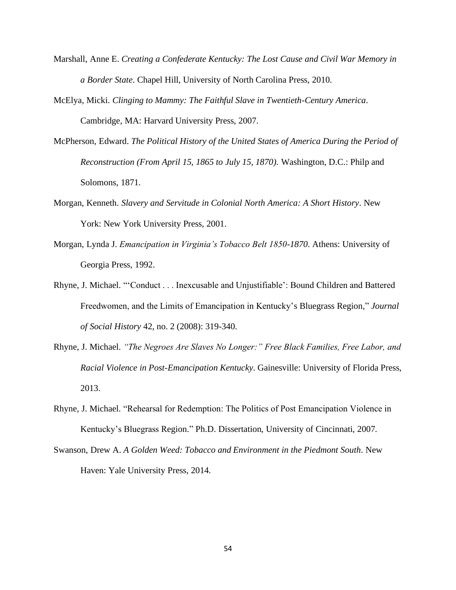- Marshall, Anne E. *Creating a Confederate Kentucky: The Lost Cause and Civil War Memory in a Border State*. Chapel Hill, University of North Carolina Press, 2010.
- McElya, Micki. *Clinging to Mammy: The Faithful Slave in Twentieth-Century America*. Cambridge, MA: Harvard University Press, 2007.
- McPherson, Edward. *The Political History of the United States of America During the Period of Reconstruction (From April 15, 1865 to July 15, 1870).* Washington, D.C.: Philp and Solomons, 1871.
- Morgan, Kenneth. *Slavery and Servitude in Colonial North America: A Short History*. New York: New York University Press, 2001.
- Morgan, Lynda J. *Emancipation in Virginia's Tobacco Belt 1850-1870*. Athens: University of Georgia Press, 1992.
- Rhyne, J. Michael. "'Conduct . . . Inexcusable and Unjustifiable': Bound Children and Battered Freedwomen, and the Limits of Emancipation in Kentucky's Bluegrass Region*,*" *Journal of Social History* 42, no. 2 (2008): 319-340.
- Rhyne, J. Michael. *"The Negroes Are Slaves No Longer:" Free Black Families, Free Labor, and Racial Violence in Post-Emancipation Kentucky*. Gainesville: University of Florida Press, 2013.
- Rhyne, J. Michael. "Rehearsal for Redemption: The Politics of Post Emancipation Violence in Kentucky's Bluegrass Region." Ph.D. Dissertation, University of Cincinnati, 2007.
- Swanson, Drew A. *A Golden Weed: Tobacco and Environment in the Piedmont South*. New Haven: Yale University Press, 2014.